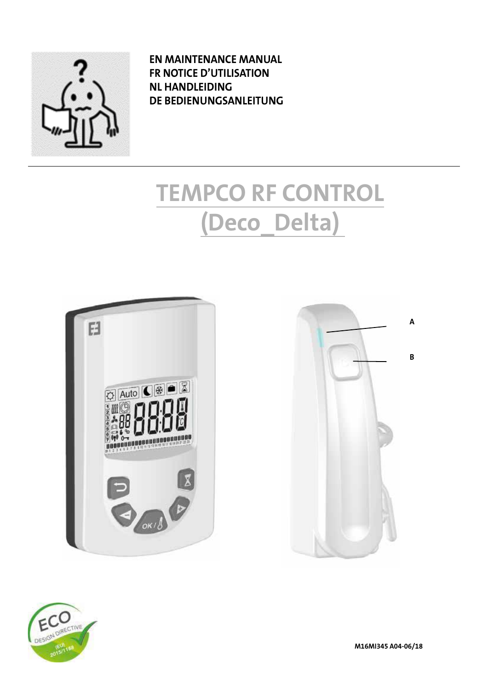

**EN MAINTENANCE MANUAL FR NOTICE D'UTILISATION NL HANDLEIDING DE BEDIENUNGSANLEITUNG**

# **TEMPCO RF CONTROL (Deco\_Delta)**







**M16MI345 A04-06/18**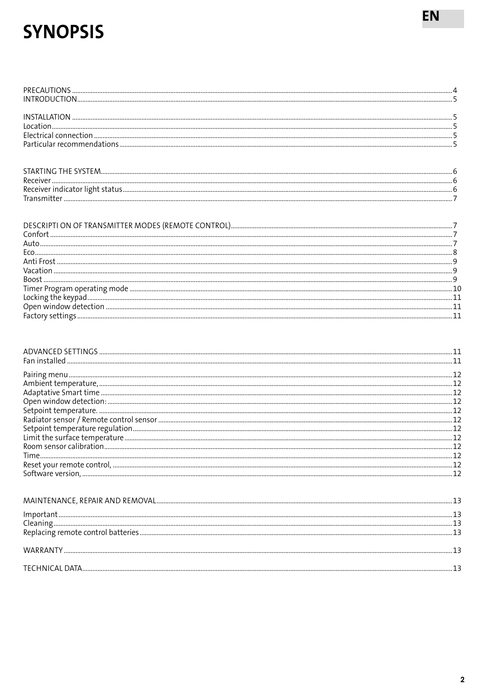## **SYNOPSIS**

EN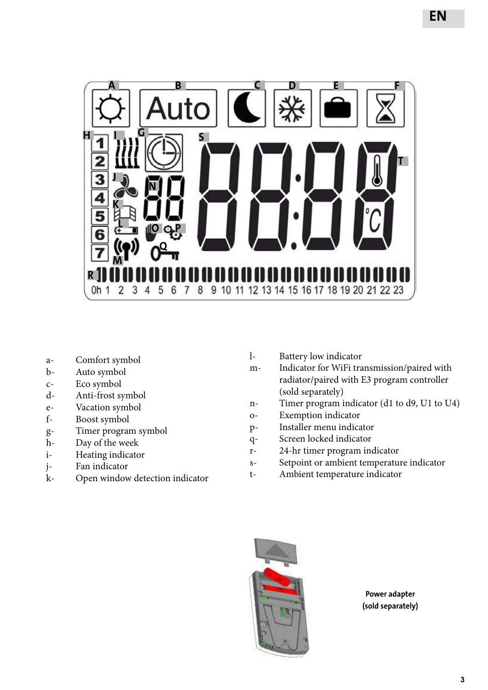

- a- Comfort symbol
- b- Auto symbol
- c- Eco symbol
- d- Anti-frost symbol
- e- Vacation symbol
- f- Boost symbol
- g- Timer program symbol
- h- Day of the week
- i- Heating indicator
- j- Fan indicator
- k- Open window detection indicator
- l- Battery low indicator
- m- Indicator for WiFi transmission/paired with radiator/paired with E3 program controller (sold separately)
- n- Timer program indicator (d1 to d9, U1 to U4)
- o- Exemption indicator
- p- Installer menu indicator
- q- Screen locked indicator
- r- 24-hr timer program indicator
- s- Setpoint or ambient temperature indicator
- t- Ambient temperature indicator



**Power adapter (sold separately)**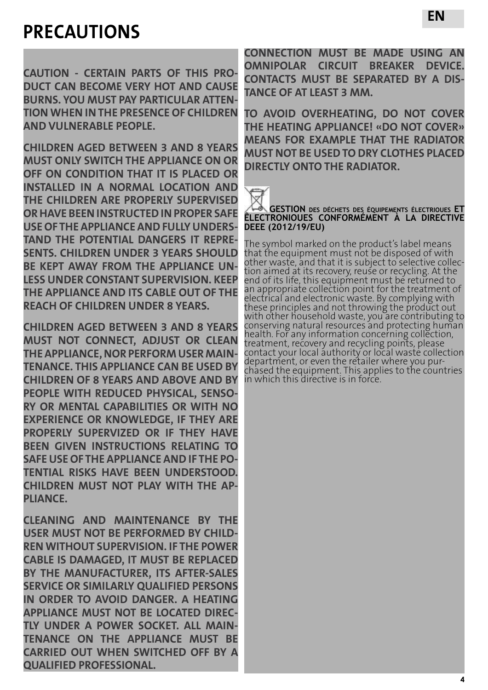## **PRECAUTIONS**

**CAUTION - CERTAIN PARTS OF THIS PRO-DUCT CAN BECOME VERY HOT AND CAUSE BURNS. YOU MUST PAY PARTICULAR ATTEN-TION WHEN IN THE PRESENCE OF CHILDREN AND VULNERABLE PEOPLE.**

**CHILDREN AGED BETWEEN 3 AND 8 YEARS MUST ONLY SWITCH THE APPLIANCE ON OR OFF ON CONDITION THAT IT IS PLACED OR INSTALLED IN A NORMAL LOCATION AND THE CHILDREN ARE PROPERLY SUPERVISED OR HAVE BEEN INSTRUCTED IN PROPER SAFE USE OF THE APPLIANCE AND FULLY UNDERS-TAND THE POTENTIAL DANGERS IT REPRE-SENTS. CHILDREN UNDER 3 YEARS SHOULD BE KEPT AWAY FROM THE APPLIANCE UN-LESS UNDER CONSTANT SUPERVISION. KEEP THE APPLIANCE AND ITS CABLE OUT OF THE REACH OF CHILDREN UNDER 8 YEARS.**

**CHILDREN AGED BETWEEN 3 AND 8 YEARS MUST NOT CONNECT, ADJUST OR CLEAN THE APPLIANCE, NOR PERFORM USER MAIN-TENANCE. THIS APPLIANCE CAN BE USED BY CHILDREN OF 8 YEARS AND ABOVE AND BY PEOPLE WITH REDUCED PHYSICAL, SENSO-RY OR MENTAL CAPABILITIES OR WITH NO EXPERIENCE OR KNOWLEDGE, IF THEY ARE PROPERLY SUPERVIZED OR IF THEY HAVE BEEN GIVEN INSTRUCTIONS RELATING TO SAFE USE OF THE APPLIANCE AND IF THE PO-TENTIAL RISKS HAVE BEEN UNDERSTOOD. CHILDREN MUST NOT PLAY WITH THE AP-PLIANCE.** 

**CLEANING AND MAINTENANCE BY THE USER MUST NOT BE PERFORMED BY CHILD-REN WITHOUT SUPERVISION. IF THE POWER CABLE IS DAMAGED, IT MUST BE REPLACED BY THE MANUFACTURER, ITS AFTER-SALES SERVICE OR SIMILARLY QUALIFIED PERSONS IN ORDER TO AVOID DANGER. A HEATING APPLIANCE MUST NOT BE LOCATED DIREC-TLY UNDER A POWER SOCKET. ALL MAIN-TENANCE ON THE APPLIANCE MUST BE CARRIED OUT WHEN SWITCHED OFF BY A QUALIFIED PROFESSIONAL.**

**CONNECTION MUST BE MADE USING AN OMNIPOLAR CIRCUIT BREAKER DEVICE. CONTACTS MUST BE SEPARATED BY A DIS-TANCE OF AT LEAST 3 MM.**

**TO AVOID OVERHEATING, DO NOT COVER THE HEATING APPLIANCE! «DO NOT COVER» MEANS FOR EXAMPLE THAT THE RADIATOR MUST NOT BE USED TO DRY CLOTHES PLACED DIRECTLY ONTO THE RADIATOR.**



**GESTION des déchets des équipements électrioues ET ÊLECTRONIOUES CONFORMÉMENT À LA DIRECTIVE DEEE (2012/19/EU)**

The symbol marked on the product's label means that the equipment must not be disposed of with<br>other waste, and that it is subject to selective collection aimed at its recovery, reuse or recycling. At the end of its life, this equipment must be returned to an appropriate collection point for the treatment of electrical and electronic waste. By complying with these principles and not throwing the product out with other household waste, you are contributing to conserving natural resources and protecting human health. For any information concerning collection, treatment, recovery and recycling points, please contact your local authority or local waste collection department, or even the retailer where you pur- chased the equipment. This applies to the countries chased the equipment. This applies to the countries<br>in which this directive is in force.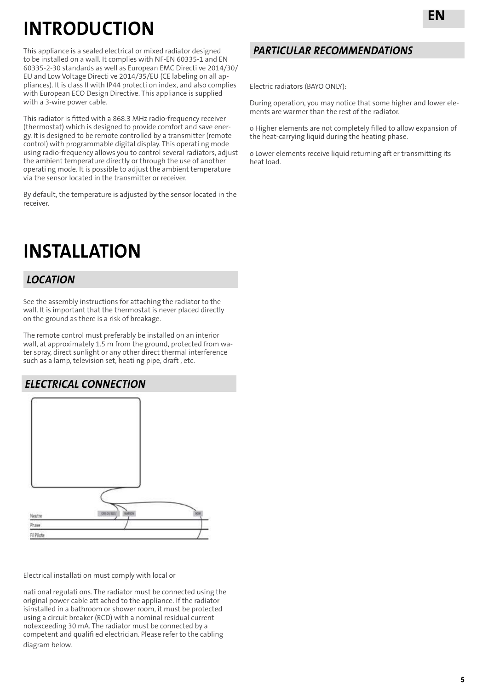## **INTRODUCTION**

This appliance is a sealed electrical or mixed radiator designed to be installed on a wall. It complies with NF-EN 60335-1 and EN 60335-2-30 standards as well as European EMC Directi ve 2014/30/ EU and Low Voltage Directi ve 2014/35/EU (CE labeling on all appliances). It is class II with IP44 protecti on index, and also complies with European ECO Design Directive. This appliance is supplied with a 3-wire power cable.

This radiator is fitted with a 868.3 MHz radio-frequency receiver (thermostat) which is designed to provide comfort and save energy. It is designed to be remote controlled by a transmitter (remote control) with programmable digital display. This operati ng mode using radio-frequency allows you to control several radiators, adjust the ambient temperature directly or through the use of another operati ng mode. It is possible to adjust the ambient temperature via the sensor located in the transmitter or receiver.

By default, the temperature is adjusted by the sensor located in the receiver.

## **INSTALLATION**

### *LOCATION*

See the assembly instructions for attaching the radiator to the wall. It is important that the thermostat is never placed directly on the ground as there is a risk of breakage.

The remote control must preferably be installed on an interior wall, at approximately 1.5 m from the ground, protected from water spray, direct sunlight or any other direct thermal interference such as a lamp, television set, heati ng pipe, draft , etc.

### *ELECTRICAL CONNECTION*



Electrical installati on must comply with local or

nati onal regulati ons. The radiator must be connected using the original power cable att ached to the appliance. If the radiator isinstalled in a bathroom or shower room, it must be protected using a circuit breaker (RCD) with a nominal residual current notexceeding 30 mA. The radiator must be connected by a competent and qualifi ed electrician. Please refer to the cabling diagram below.

### *PARTICULAR RECOMMENDATIONS*

Electric radiators (BAYO ONLY):

During operation, you may notice that some higher and lower elements are warmer than the rest of the radiator.

o Higher elements are not completely filled to allow expansion of the heat-carrying liquid during the heating phase.

o Lower elements receive liquid returning aft er transmitting its heat load.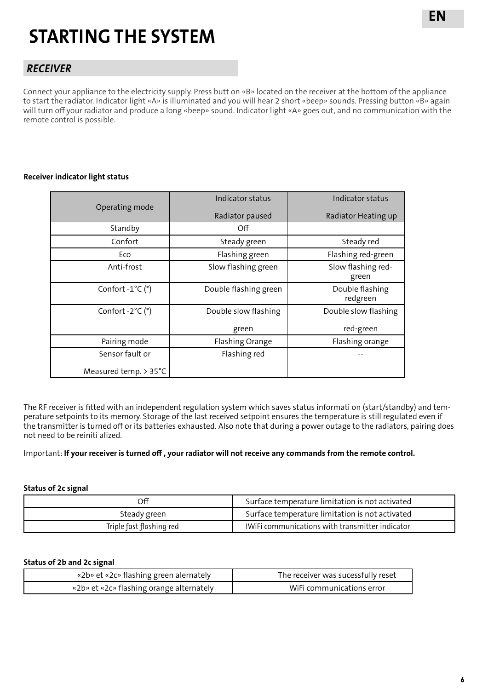## **STARTING THE SYSTEM**

### *RECEIVER*

Connect your appliance to the electricity supply. Press butt on «B» located on the receiver at the bottom of the appliance to start the radiator. Indicator light «A» is illuminated and you will hear 2 short «beep» sounds. Pressing button «B» again will turn off your radiator and produce a long «beep» sound. Indicator light «A» goes out, and no communication with the remote control is possible.

#### **Receiver indicator light status**

|                           | Indicator status      | Indicator status            |
|---------------------------|-----------------------|-----------------------------|
| Operating mode            | Radiator paused       | Radiator Heating up         |
| Standby                   | Off                   |                             |
| Confort                   | Steady green          | Steady red                  |
| Eco                       | Flashing green        | Flashing red-green          |
| Anti-frost                | Slow flashing green   | Slow flashing red-<br>green |
| Confort $-1^{\circ}C$ (*) | Double flashing green | Double flashing<br>redgreen |
| Confort $-2^{\circ}C$ (*) | Double slow flashing  | Double slow flashing        |
|                           | green                 | red-green                   |
| Pairing mode              | Flashing Orange       | Flashing orange             |
| Sensor fault or           | Flashing red          |                             |
| Measured temp. > 35°C     |                       |                             |

The RF receiver is fitted with an independent regulation system which saves status informati on (start/standby) and temperature setpoints to its memory. Storage of the last received setpoint ensures the temperature is still regulated even if the transmitter is turned off or its batteries exhausted. Also note that during a power outage to the radiators, pairing does not need to be reiniti alized.

#### Important: **If your receiver is turned off , your radiator will not receive any commands from the remote control.**

#### **Status of 2c signal**

| Off                      | Surface temperature limitation is not activated |
|--------------------------|-------------------------------------------------|
| Steady green             | Surface temperature limitation is not activated |
| Triple fast flashing red | IWIFI communications with transmitter indicator |

#### **Status of 2b and 2c signal**

| «2b» et «2c» flashing green alernately   | The receiver was sucessfully reset |
|------------------------------------------|------------------------------------|
| «2b» et «2c» flashing orange alternately | WiFi communications error          |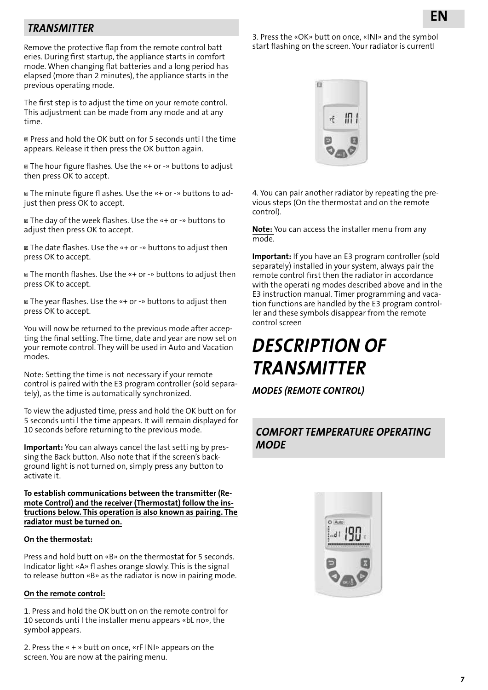### *TRANSMITTER*

Remove the protective flap from the remote control batt eries. During first startup, the appliance starts in comfort mode. When changing flat batteries and a long period has elapsed (more than 2 minutes), the appliance starts in the previous operating mode.

The first step is to adjust the time on your remote control. This adjustment can be made from any mode and at any time.

 Press and hold the OK butt on for 5 seconds unti l the time appears. Release it then press the OK button again.

 The hour figure flashes. Use the «+ or -» buttons to adjust then press OK to accept.

 The minute figure fl ashes. Use the «+ or -» buttons to adjust then press OK to accept.

 The day of the week flashes. Use the «+ or -» buttons to adjust then press OK to accept.

 The date flashes. Use the «+ or -» buttons to adjust then press OK to accept.

 The month flashes. Use the «+ or -» buttons to adjust then press OK to accept.

 The year flashes. Use the «+ or -» buttons to adjust then press OK to accept.

You will now be returned to the previous mode after accepting the final setting. The time, date and year are now set on your remote control. They will be used in Auto and Vacation modes.

Note: Setting the time is not necessary if your remote control is paired with the E3 program controller (sold separately), as the time is automatically synchronized.

To view the adjusted time, press and hold the OK butt on for 5 seconds unti l the time appears. It will remain displayed for 10 seconds before returning to the previous mode.

**Important:** You can always cancel the last setti ng by pressing the Back button. Also note that if the screen's background light is not turned on, simply press any button to activate it.

**To establish communications between the transmitter (Remote Control) and the receiver (Thermostat) follow the instructions below. This operation is also known as pairing. The radiator must be turned on.**

#### **On the thermostat:**

Press and hold butt on «B» on the thermostat for 5 seconds. Indicator light «A» fl ashes orange slowly. This is the signal to release button «B» as the radiator is now in pairing mode.

#### **On the remote control:**

1. Press and hold the OK butt on on the remote control for 10 seconds unti l the installer menu appears «bL no», the symbol appears.

2. Press the « + » butt on once, «rF INI» appears on the screen. You are now at the pairing menu.

3. Press the «OK» butt on once, «INI» and the symbol start flashing on the screen. Your radiator is currentl



4. You can pair another radiator by repeating the previous steps (On the thermostat and on the remote control).

**Note:** You can access the installer menu from any mode.

**Important:** If you have an E3 program controller (sold separately) installed in your system, always pair the remote control first then the radiator in accordance with the operati ng modes described above and in the E3 instruction manual. Timer programming and vacation functions are handled by the E3 program controller and these symbols disappear from the remote control screen

## *DESCRIPTION OF TRANSMITTER*

*MODES (REMOTE CONTROL)*

#### *COMFORT TEMPERATURE OPERATING MODE*

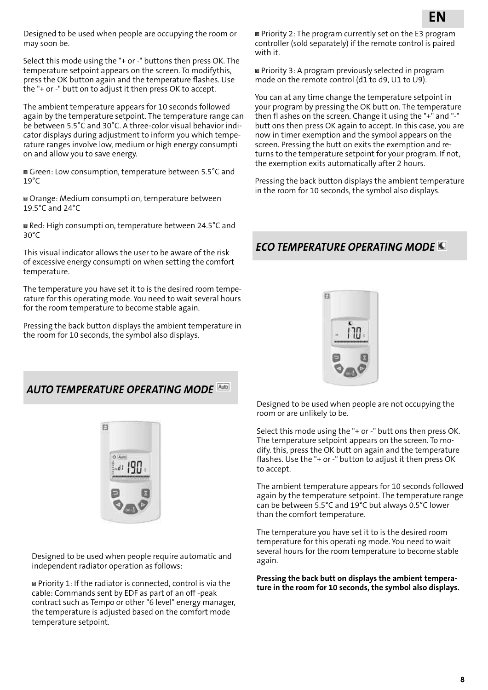Designed to be used when people are occupying the room or may soon be.

Select this mode using the "+ or -" buttons then press OK. The temperature setpoint appears on the screen. To modifythis, press the OK button again and the temperature flashes. Use the "+ or -" butt on to adjust it then press OK to accept.

The ambient temperature appears for 10 seconds followed again by the temperature setpoint. The temperature range can be between 5.5°C and 30°C. A three-color visual behavior indicator displays during adjustment to inform you which temperature ranges involve low, medium or high energy consumpti on and allow you to save energy.

 Green: Low consumption, temperature between 5.5°C and  $19^{\circ}$ C

 Orange: Medium consumpti on, temperature between 19.5°C and 24°C

 Red: High consumpti on, temperature between 24.5°C and 30°C

This visual indicator allows the user to be aware of the risk of excessive energy consumpti on when setting the comfort temperature.

The temperature you have set it to is the desired room temperature for this operating mode. You need to wait several hours for the room temperature to become stable again.

Pressing the back button displays the ambient temperature in the room for 10 seconds, the symbol also displays.

 Priority 2: The program currently set on the E3 program controller (sold separately) if the remote control is paired with it.

 Priority 3: A program previously selected in program mode on the remote control (d1 to d9, U1 to U9).

You can at any time change the temperature setpoint in your program by pressing the OK butt on. The temperature then fl ashes on the screen. Change it using the "+" and "-" butt ons then press OK again to accept. In this case, you are now in timer exemption and the symbol appears on the screen. Pressing the butt on exits the exemption and returns to the temperature setpoint for your program. If not, the exemption exits automatically after 2 hours.

Pressing the back button displays the ambient temperature in the room for 10 seconds, the symbol also displays.

### *ECO TEMPERATURE OPERATING MODE*



### *AUTO TEMPERATURE OPERATING MODE*



Designed to be used when people require automatic and independent radiator operation as follows:

 Priority 1: If the radiator is connected, control is via the cable: Commands sent by EDF as part of an off -peak contract such as Tempo or other "6 level" energy manager, the temperature is adjusted based on the comfort mode temperature setpoint.

Designed to be used when people are not occupying the room or are unlikely to be.

Select this mode using the "+ or -" butt ons then press OK. The temperature setpoint appears on the screen. To modify. this, press the OK butt on again and the temperature flashes. Use the "+ or -" button to adjust it then press OK to accept.

The ambient temperature appears for 10 seconds followed again by the temperature setpoint. The temperature range can be between 5.5°C and 19°C but always 0.5°C lower than the comfort temperature.

The temperature you have set it to is the desired room temperature for this operati ng mode. You need to wait several hours for the room temperature to become stable again.

**Pressing the back butt on displays the ambient temperature in the room for 10 seconds, the symbol also displays.**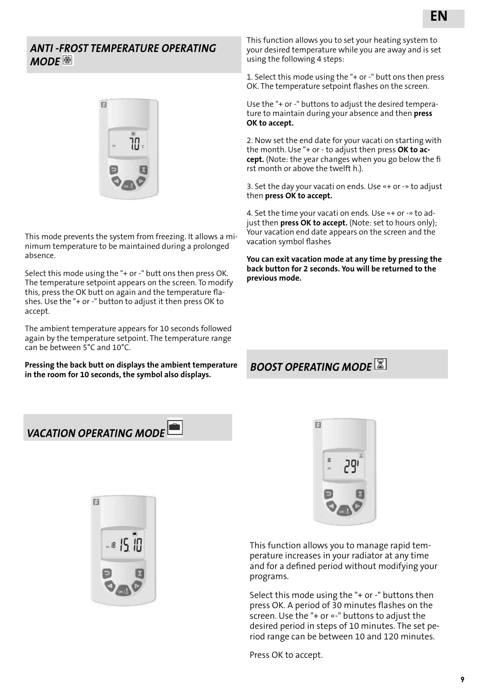### *ANTI -FROST TEMPERATURE OPERATING MODE*



This mode prevents the system from freezing. It allows a minimum temperature to be maintained during a prolonged absence.

Select this mode using the "+ or -" butt ons then press OK. The temperature setpoint appears on the screen. To modify this, press the OK butt on again and the temperature flashes. Use the "+ or -" button to adjust it then press OK to accept.

The ambient temperature appears for 10 seconds followed again by the temperature setpoint. The temperature range can be between 5°C and 10°C.

**Pressing the back butt on displays the ambient temperature in the room for 10 seconds, the symbol also displays.**

This function allows you to set your heating system to your desired temperature while you are away and is set using the following 4 steps:

1. Select this mode using the "+ or -" butt ons then press OK. The temperature setpoint flashes on the screen.

Use the "+ or -" buttons to adjust the desired temperature to maintain during your absence and then **press OK to accept.**

2. Now set the end date for your vacati on starting with the month. Use "+ or - to adjust then press **OK to accept.** (Note: the year changes when you go below the fi rst month or above the twelft h.).

3. Set the day your vacati on ends. Use «+ or -» to adjust then **press OK to accept.**

4. Set the time your vacati on ends. Use «+ or -» to adjust then **press OK to accept.** (Note: set to hours only); Your vacation end date appears on the screen and the vacation symbol flashes

**You can exit vacation mode at any time by pressing the back button for 2 seconds. You will be returned to the previous mode.** 

## *BOOST OPERATING MODE*

## *VACATION OPERATING MODE*





This function allows you to manage rapid temperature increases in your radiator at any time and for a defined period without modifying your programs.

Select this mode using the "+ or -" buttons then press OK. A period of 30 minutes flashes on the screen. Use the "+ or «-" buttons to adjust the desired period in steps of 10 minutes. The set period range can be between 10 and 120 minutes.

Press OK to accept.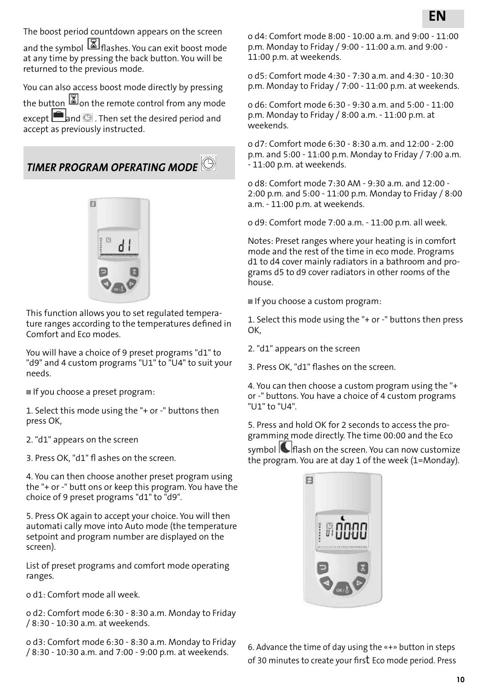The boost period countdown appears on the screen

and the symbol **1** flashes. You can exit boost mode at any time by pressing the back button. You will be returned to the previous mode.

You can also access boost mode directly by pressing the button  $\square$  on the remote control from any mode except  $\Box$  and  $\odot$  . Then set the desired period and accept as previously instructed.

*TIMER PROGRAM OPERATING MODE* 



This function allows you to set regulated temperature ranges according to the temperatures defined in Comfort and Eco modes.

You will have a choice of 9 preset programs "d1" to "d9" and 4 custom programs "U1" to "U4" to suit your needs.

If you choose a preset program:

1. Select this mode using the "+ or -" buttons then press OK,

2. "d1" appears on the screen

3. Press OK, "d1" fl ashes on the screen.

4. You can then choose another preset program using the "+ or -" butt ons or keep this program. You have the choice of 9 preset programs "d1" to "d9".

5. Press OK again to accept your choice. You will then automati cally move into Auto mode (the temperature setpoint and program number are displayed on the screen).

List of preset programs and comfort mode operating ranges.

o d1: Comfort mode all week.

o d2: Comfort mode 6:30 - 8:30 a.m. Monday to Friday / 8:30 - 10:30 a.m. at weekends.

o d3: Comfort mode 6:30 - 8:30 a.m. Monday to Friday / 8:30 - 10:30 a.m. and 7:00 - 9:00 p.m. at weekends.

o d4: Comfort mode 8:00 - 10:00 a.m. and 9:00 - 11:00 p.m. Monday to Friday / 9:00 - 11:00 a.m. and 9:00 - 11:00 p.m. at weekends.

o d5: Comfort mode 4:30 - 7:30 a.m. and 4:30 - 10:30 p.m. Monday to Friday / 7:00 - 11:00 p.m. at weekends.

o d6: Comfort mode 6:30 - 9:30 a.m. and 5:00 - 11:00 p.m. Monday to Friday / 8:00 a.m. - 11:00 p.m. at weekends.

o d7: Comfort mode 6:30 - 8:30 a.m. and 12:00 - 2:00 p.m. and 5:00 - 11:00 p.m. Monday to Friday / 7:00 a.m. - 11:00 p.m. at weekends.

o d8: Comfort mode 7:30 AM - 9:30 a.m. and 12:00 - 2:00 p.m. and 5:00 - 11:00 p.m. Monday to Friday / 8:00 a.m. - 11:00 p.m. at weekends.

o d9: Comfort mode 7:00 a.m. - 11:00 p.m. all week.

Notes: Preset ranges where your heating is in comfort mode and the rest of the time in eco mode. Programs d1 to d4 cover mainly radiators in a bathroom and programs d5 to d9 cover radiators in other rooms of the house.

If you choose a custom program:

1. Select this mode using the "+ or -" buttons then press OK,

2. "d1" appears on the screen

3. Press OK, "d1" flashes on the screen.

4. You can then choose a custom program using the "+ or -" buttons. You have a choice of 4 custom programs "U1" to "U4".

5. Press and hold OK for 2 seconds to access the programming mode directly. The time 00:00 and the Eco

symbol  $\blacksquare$  flash on the screen. You can now customize the program. You are at day 1 of the week (1=Monday).



6. Advance the time of day using the «+» button in steps of 30 minutes to create your first Eco mode period. Press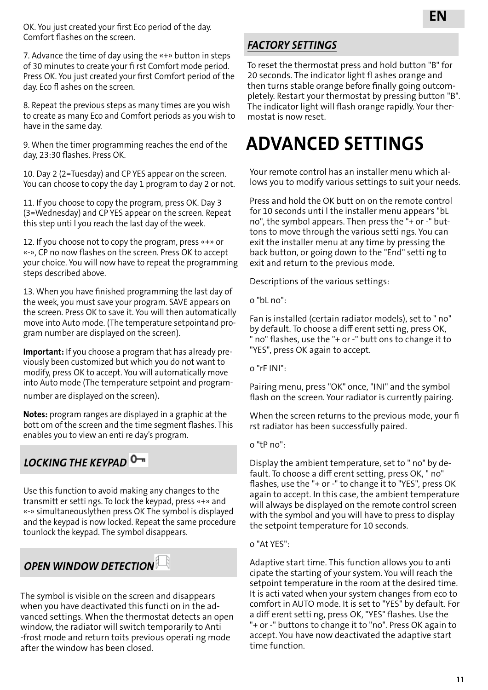OK. You just created your first Eco period of the day. Comfort flashes on the screen.

7. Advance the time of day using the «+» button in steps of 30 minutes to create your fi rst Comfort mode period. Press OK. You just created your first Comfort period of the day. Eco fl ashes on the screen.

8. Repeat the previous steps as many times are you wish to create as many Eco and Comfort periods as you wish to have in the same day.

9. When the timer programming reaches the end of the day, 23:30 flashes. Press OK.

10. Day 2 (2=Tuesday) and CP YES appear on the screen. You can choose to copy the day 1 program to day 2 or not.

11. If you choose to copy the program, press OK. Day 3 (3=Wednesday) and CP YES appear on the screen. Repeat this step unti l you reach the last day of the week.

12. If you choose not to copy the program, press «+» or «-», CP no now flashes on the screen. Press OK to accept your choice. You will now have to repeat the programming steps described above.

13. When you have finished programming the last day of the week, you must save your program. SAVE appears on the screen. Press OK to save it. You will then automatically move into Auto mode. (The temperature setpointand program number are displayed on the screen).

**Important:** If you choose a program that has already previously been customized but which you do not want to modify, press OK to accept. You will automatically move into Auto mode (The temperature setpoint and programnumber are displayed on the screen).

**Notes:** program ranges are displayed in a graphic at the bott om of the screen and the time segment flashes. This enables you to view an enti re day's program.

## *LOCKING THE KEYPAD*

Use this function to avoid making any changes to the transmitt er setti ngs. To lock the keypad, press «+» and «-» simultaneouslythen press OK The symbol is displayed and the keypad is now locked. Repeat the same procedure tounlock the keypad. The symbol disappears.

## *OPEN WINDOW DETECTION*

The symbol is visible on the screen and disappears when you have deactivated this functi on in the advanced settings. When the thermostat detects an open window, the radiator will switch temporarily to Anti -frost mode and return toits previous operati ng mode after the window has been closed.

#### *FACTORY SETTINGS*

To reset the thermostat press and hold button "B" for 20 seconds. The indicator light fl ashes orange and then turns stable orange before finally going outcompletely. Restart your thermostat by pressing button "B". The indicator light will flash orange rapidly. Your thermostat is now reset.

## **ADVANCED SETTINGS**

Your remote control has an installer menu which allows you to modify various settings to suit your needs.

Press and hold the OK butt on on the remote control for 10 seconds unti l the installer menu appears "bL no", the symbol appears. Then press the "+ or -" buttons to move through the various setti ngs. You can exit the installer menu at any time by pressing the back button, or going down to the "End" setti ng to exit and return to the previous mode.

Descriptions of the various settings:

o "bL no":

Fan is installed (certain radiator models), set to " no" by default. To choose a diff erent setti ng, press OK, " no" flashes, use the "+ or -" butt ons to change it to "YES", press OK again to accept.

o "rF INI":

Pairing menu, press "OK" once, "INI" and the symbol flash on the screen. Your radiator is currently pairing.

When the screen returns to the previous mode, your fi rst radiator has been successfully paired.

o "tP no":

Display the ambient temperature, set to " no" by default. To choose a diff erent setting, press OK, " no" flashes, use the "+ or -" to change it to "YES", press OK again to accept. In this case, the ambient temperature will always be displayed on the remote control screen with the symbol and you will have to press to display the setpoint temperature for 10 seconds.

#### o "At YES":

Adaptive start time. This function allows you to anti cipate the starting of your system. You will reach the setpoint temperature in the room at the desired time. It is acti vated when your system changes from eco to comfort in AUTO mode. It is set to "YES" by default. For a diff erent setti ng, press OK, "YES" flashes. Use the "+ or -" buttons to change it to "no". Press OK again to accept. You have now deactivated the adaptive start time function.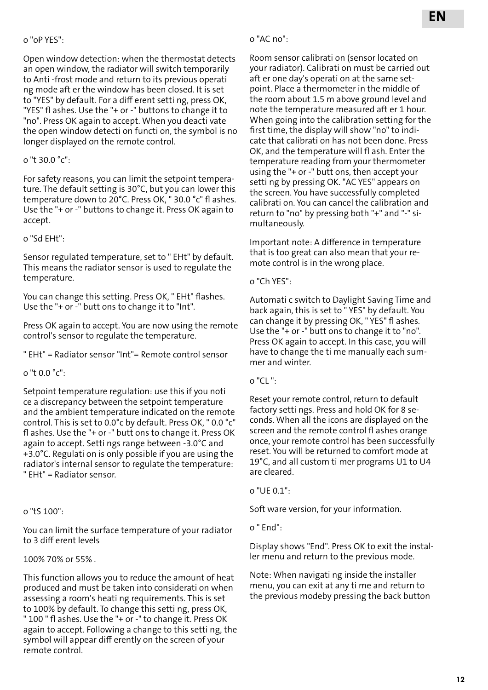#### o "oP YES":

Open window detection: when the thermostat detects an open window, the radiator will switch temporarily to Anti -frost mode and return to its previous operati ng mode aft er the window has been closed. It is set to "YES" by default. For a diff erent setti ng, press OK, "YES" fl ashes. Use the "+ or -" buttons to change it to "no". Press OK again to accept. When you deacti vate the open window detecti on functi on, the symbol is no longer displayed on the remote control.

#### o "t 30.0 °c":

For safety reasons, you can limit the setpoint temperature. The default setting is 30°C, but you can lower this temperature down to 20°C. Press OK, " 30.0 °c" fl ashes. Use the "+ or -" buttons to change it. Press OK again to accept.

#### o "Sd EHt":

Sensor regulated temperature, set to " EHt" by default. This means the radiator sensor is used to regulate the temperature.

You can change this setting. Press OK, " EHt" flashes. Use the "+ or -" butt ons to change it to "Int".

Press OK again to accept. You are now using the remote control's sensor to regulate the temperature.

" EHt" = Radiator sensor "Int"= Remote control sensor

o "t 0.0 °c":

Setpoint temperature regulation: use this if you noti ce a discrepancy between the setpoint temperature and the ambient temperature indicated on the remote control. This is set to 0.0°c by default. Press OK, " 0.0 °c" fl ashes. Use the "+ or -" butt ons to change it. Press OK again to accept. Setti ngs range between -3.0°C and +3.0°C. Regulati on is only possible if you are using the radiator's internal sensor to regulate the temperature: " EHt" = Radiator sensor.

#### o "tS 100":

You can limit the surface temperature of your radiator to 3 diff erent levels

#### 100% 70% or 55% .

This function allows you to reduce the amount of heat produced and must be taken into considerati on when assessing a room's heati ng requirements. This is set to 100% by default. To change this setti ng, press OK,

" 100 " fl ashes. Use the "+ or -" to change it. Press OK again to accept. Following a change to this setti ng, the symbol will appear diff erently on the screen of your remote control.

#### o "AC no":

Room sensor calibrati on (sensor located on your radiator). Calibrati on must be carried out aft er one day's operati on at the same setpoint. Place a thermometer in the middle of the room about 1.5 m above ground level and note the temperature measured aft er 1 hour. When going into the calibration setting for the first time, the display will show "no" to indicate that calibrati on has not been done. Press OK, and the temperature will fl ash. Enter the temperature reading from your thermometer using the "+ or -" butt ons, then accept your setti ng by pressing OK. "AC YES" appears on the screen. You have successfully completed calibrati on. You can cancel the calibration and return to "no" by pressing both "+" and "-" simultaneously.

Important note: A difference in temperature that is too great can also mean that your remote control is in the wrong place.

o "Ch YES":

Automati c switch to Daylight Saving Time and back again, this is set to " YES" by default. You can change it by pressing OK, " YES" fl ashes. Use the "+ or -" butt ons to change it to "no". Press OK again to accept. In this case, you will have to change the ti me manually each summer and winter.

#### o "CL ":

Reset your remote control, return to default factory setti ngs. Press and hold OK for 8 seconds. When all the icons are displayed on the screen and the remote control fl ashes orange once, your remote control has been successfully reset. You will be returned to comfort mode at 19°C, and all custom ti mer programs U1 to U4 are cleared.

o "UE 0.1":

Soft ware version, for your information.

o " End":

Display shows "End". Press OK to exit the installer menu and return to the previous mode.

Note: When navigati ng inside the installer menu, you can exit at any ti me and return to the previous modeby pressing the back button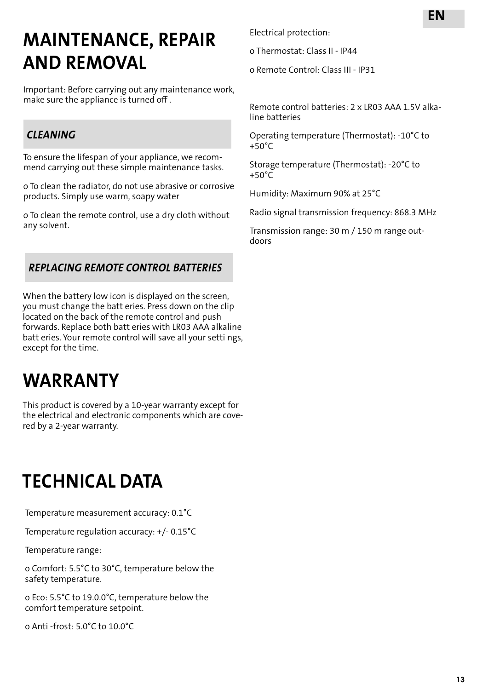## **MAINTENANCE, REPAIR AND REMOVAL**

Important: Before carrying out any maintenance work, make sure the appliance is turned off .

## *CLEANING*

To ensure the lifespan of your appliance, we recommend carrying out these simple maintenance tasks.

o To clean the radiator, do not use abrasive or corrosive products. Simply use warm, soapy water

o To clean the remote control, use a dry cloth without any solvent.

### *REPLACING REMOTE CONTROL BATTERIES*

When the battery low icon is displayed on the screen, you must change the batt eries. Press down on the clip located on the back of the remote control and push forwards. Replace both batt eries with LR03 AAA alkaline batt eries. Your remote control will save all your setti ngs, except for the time.

## **WARRANTY**

This product is covered by a 10-year warranty except for the electrical and electronic components which are covered by a 2-year warranty.

## **TECHNICAL DATA**

Temperature measurement accuracy: 0.1°C

Temperature regulation accuracy: +/- 0.15°C

Temperature range:

o Comfort: 5.5°C to 30°C, temperature below the safety temperature.

o Eco: 5.5°C to 19.0.0°C, temperature below the comfort temperature setpoint.

o Anti -frost: 5.0°C to 10.0°C

Electrical protection:

o Thermostat: Class II - IP44

o Remote Control: Class III - IP31

Remote control batteries: 2 x LR03 AAA 1.5V alkaline batteries

Operating temperature (Thermostat): -10°C to +50°C

Storage temperature (Thermostat): -20°C to  $+50^{\circ}$ C

Humidity: Maximum 90% at 25°C

Radio signal transmission frequency: 868.3 MHz

Transmission range: 30 m / 150 m range outdoors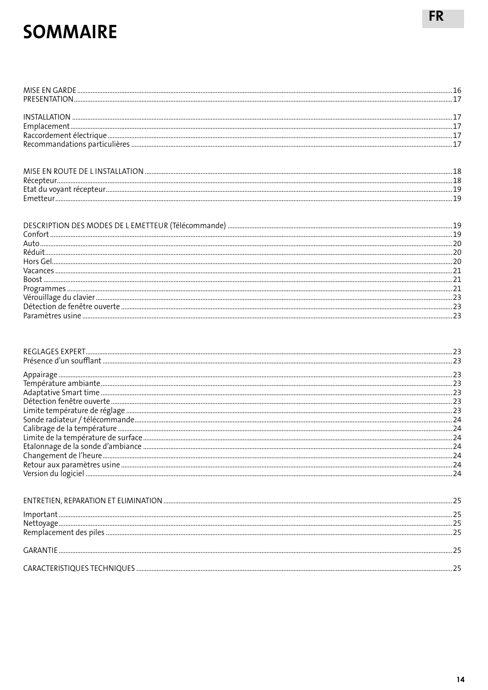## **SOMMAIRE**

| ${\color{red} {{\sf P}} {\sf rogrammes} \,\, {\color{red} \ldots} {\color{red} \ldots} {\color{red} \ldots} {\color{red} \ldots} {\color{red} \ldots} {\color{red} \ldots} {\color{red} \ldots} {\color{red} \ldots} {\color{red} \ldots} {\color{red} \ldots} {\color{red} \ldots} {\color{red} \ldots} {\color{red} \ldots} {\color{red} \ldots} {\color{red} \ldots} {\color{red} \ldots} {\color{red} \ldots} {\color{red} \ldots} {\color{red} \ldots} {\color{red} \ldots} {\color{red} \ldots} {\color{red} \ldots} {\color$ |  |
|-------------------------------------------------------------------------------------------------------------------------------------------------------------------------------------------------------------------------------------------------------------------------------------------------------------------------------------------------------------------------------------------------------------------------------------------------------------------------------------------------------------------------------------|--|
|                                                                                                                                                                                                                                                                                                                                                                                                                                                                                                                                     |  |
|                                                                                                                                                                                                                                                                                                                                                                                                                                                                                                                                     |  |
|                                                                                                                                                                                                                                                                                                                                                                                                                                                                                                                                     |  |
|                                                                                                                                                                                                                                                                                                                                                                                                                                                                                                                                     |  |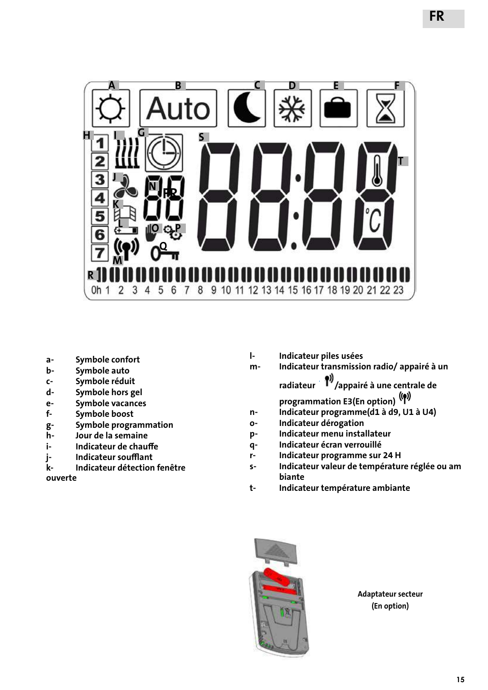

- **a- Symbole confort**
- **b- Symbole auto**
- **c- Symbole réduit**
- **d- Symbole hors gel**
- **e- Symbole vacances**
- **f- Symbole boost**
- **g- Symbole programmation**
- **h- Jour de la semaine**
- **i- Indicateur de chauffe**
- **j- Indicateur soufflant**
- **k- Indicateur détection fenêtre**

**ouverte**

- **l- Indicateur piles usées**
- **m- Indicateur transmission radio/ appairé à un**  radiateur <sup>19</sup>/appairé à une centrale de **programmation E3(En option)**
- **n- Indicateur programme(d1 à d9, U1 à U4)**
- **o- Indicateur dérogation**
- **p- Indicateur menu installateur**
- **q- Indicateur écran verrouillé**
- **r- Indicateur programme sur 24 H**
- **s- Indicateur valeur de température réglée ou am biante**
- **t- Indicateur température ambiante**



**Adaptateur secteur (En option)**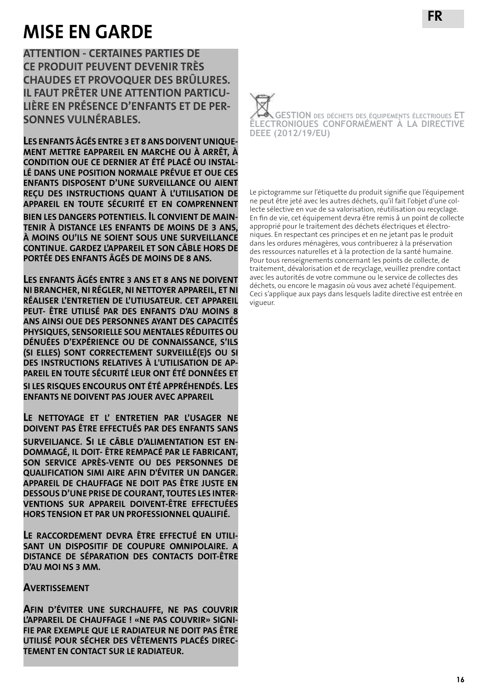## **MISE EN GARDE**

**ATTENTION - CERTAINES PARTIES DE CE PRODUIT PEUVENT DEVENIR TRÈS CHAUDES ET PROVOQUER DES BRÛLURES. IL FAUT PRÊTER UNE ATTENTION PARTICU-LIÈRE EN PRÉSENCE D'ENFANTS ET DE PER-SONNES VULNÉRABLES.**

**LES ENFANTS ÂGÉS ENTRE 3 ET 8 ANS DOIVENT UNIQUE-MENT METTRE EAPPAREIL EN MARCHE OU À ARRÊT, À CONDITION OUE CE DERNIER AT ÉTÉ PLACÉ OU INSTAL-LÉ DANS UNE POSITION NORMALE PRÉVUE ET OUE CES ENFANTS DISPOSENT D'UNE SURVEILLANCE OU AIENT REÇU DES INSTRUCTIONS QUANT À L'UTILISATION DE APPAREIL EN TOUTE SÉCURITÉ ET EN COMPRENNENT BIEN LES DANGERS POTENTIELS. IL CONVIENT DE MAIN-TENIR À DISTANCE LES ENFANTS DE MOINS DE 3 ANS, À MOINS OU'ILS NE SOIENT SOUS UNE SURVEILLANCE CONTINUE. GARDEZ L'APPAREIL ET SON CÂBLE HORS DE PORTÉE DES ENFANTS ÂGÉS DE MOINS DE 8 ANS.**

**LES ENFANTS ÂGÉS ENTRE 3 ANS ET 8 ANS NE DOIVENT NI BRANCHER, NI RÉGLER, NI NETTOYER APPAREIL, ET NI RÉALISER L'ENTRETIEN DE L'UTIUSATEUR. CET APPAREIL PEUT- ÊTRE UTILISÉ PAR DES ENFANTS D'AU MOINS 8 ANS AINSI OUE DES PERSONNES AYANT DES CAPACITÉS PHYSIQUES, SENSORIELLE SOU MENTALES RÉDUITES OU DÉNUÉES D'EXPÉRIENCE OU DE CONNAISSANCE, S'ILS (SI ELLES) SONT CORRECTEMENT SURVEILLÉ(E)S OU SI DES INSTRUCTIONS RELATIVES À L'UTILISATION DE AP-PAREIL EN TOUTE SÉCURITÉ LEUR ONT ÉTÉ DONNÉES ET SI LES RISQUES ENCOURUS ONT ÉTÉ APPRÉHENDÉS. LES ENFANTS NE DOIVENT PAS JOUER AVEC APPAREIL**

**LE NETTOYAGE ET L' ENTRETIEN PAR L'USAGER NE DOIVENT PAS ÊTRE EFFECTUÉS PAR DES ENFANTS SANS SURVEILJANCE. SI LE CÂBLE D'ALIMENTATION EST EN-DOMMAGÉ, IL DOIT- ÊTRE REMPACÉ PAR LE FABRICANT, SON SERVICE APRÈS-VENTE OU DES PERSONNES DE QUALIFICATION SIMI AIRE AFIN D'ÉVITER UN DANGER. APPAREIL DE CHAUFFAGE NE DOIT PAS ÊTRE JUSTE EN DESSOUS D'UNE PRISE DE COURANT, TOUTES LES INTER-VENTIONS SUR APPAREIL DOIVENT-ÊTRE EFFECTUÉES HORS TENSION ET PAR UN PROFESSIONNEL QUALIFIÉ.**

**LE RACCORDEMENT DEVRA ÊTRE EFFECTUÉ EN UTILI-SANT UN DISPOSITIF DE COUPURE OMNIPOLAIRE. A DISTANCE DE SÉPARATION DES CONTACTS DOIT-ÊTRE D'AU MOI NS 3 MM.**

#### **AVERTISSEMENT**

**AFIN D'ÉVITER UNE SURCHAUFFE, NE PAS COUVRIR L'APPAREIL DE CHAUFFAGE ! «NE PAS COUVRIR» SIGNI-FIE PAR EXEMPLE QUE LE RADIATEUR NE DOIT PAS ÊTRE UTILISÉ POUR SÉCHER DES VÊTEMENTS PLACÉS DIREC-TEMENT EN CONTACT SUR LE RADIATEUR.**



Le pictogramme sur l'étiquette du produit signifie que l'équipement ne peut être jeté avec les autres déchets, qu'il fait l'objet d'une collecte sélective en vue de sa valorisation, réutilisation ou recyclage. En fin de vie, cet équipement devra être remis â un point de collecte approprié pour le traitement des déchets électriques et électroniques. En respectant ces principes et en ne jetant pas le produit dans les ordures ménagères, vous contribuerez à la préservation des ressources naturelles et à la protection de la santé humaine. Pour tous renseignements concernant les points de collecte, de traitement, dévalorisation et de recyclage, veuillez prendre contact avec les autorités de votre commune ou le service de collectes des déchets, ou encore le magasin où vous avez acheté l'équipement. Ceci s'applique aux pays dans lesquels ladite directive est entrée en vigueur.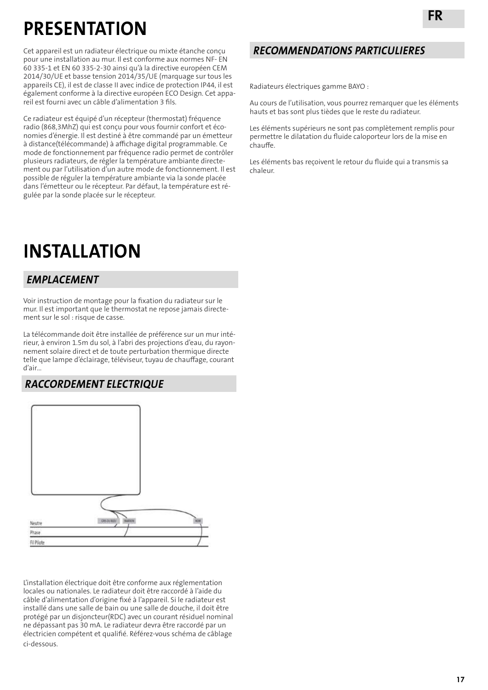## **PRESENTATION**

Cet appareil est un radiateur électrique ou mixte étanche conçu pour une installation au mur. Il est conforme aux normes NF- EN 60 335-1 et EN 60 335-2-30 ainsi qu'à la directive européen CEM 2014/30/UE et basse tension 2014/35/UE (marquage sur tous les appareils CE), il est de classe II avec indice de protection IP44, il est également conforme à la directive européen ECO Design. Cet appareil est fourni avec un câble d'alimentation 3 fils.

Ce radiateur est équipé d'un récepteur (thermostat) fréquence radio (868,3MhZ) qui est conçu pour vous fournir confort et économies d'énergie. Il est destiné à être commandé par un émetteur à distance(télécommande) à affichage digital programmable. Ce mode de fonctionnement par fréquence radio permet de contrôler plusieurs radiateurs, de régler la température ambiante directement ou par l'utilisation d'un autre mode de fonctionnement. Il est possible de réguler la température ambiante via la sonde placée dans l'émetteur ou le récepteur. Par défaut, la température est régulée par la sonde placée sur le récepteur.

## **INSTALLATION**

### *EMPLACEMENT*

Voir instruction de montage pour la fixation du radiateur sur le mur. Il est important que le thermostat ne repose jamais directement sur le sol : risque de casse.

La télécommande doit être installée de préférence sur un mur intérieur, à environ 1.5m du sol, à l'abri des projections d'eau, du rayonnement solaire direct et de toute perturbation thermique directe telle que lampe d'éclairage, téléviseur, tuyau de chauffage, courant d'air…

### *RACCORDEMENT ELECTRIQUE*



L'installation électrique doit être conforme aux réglementation locales ou nationales. Le radiateur doit être raccordé à l'aide du câble d'alimentation d'origine fixé à l'appareil. Si le radiateur est installé dans une salle de bain ou une salle de douche, il doit être protégé par un disjoncteur(RDC) avec un courant résiduel nominal ne dépassant pas 30 mA. Le radiateur devra être raccordé par un électricien compétent et qualifié. Référez-vous schéma de câblage ci-dessous.

### *RECOMMENDATIONS PARTICULIERES*

Radiateurs électriques gamme BAYO :

Au cours de l'utilisation, vous pourrez remarquer que les éléments hauts et bas sont plus tièdes que le reste du radiateur.

Les éléments supérieurs ne sont pas complètement remplis pour permettre le dilatation du fluide caloporteur lors de la mise en chauffe.

Les éléments bas reçoivent le retour du fluide qui a transmis sa chaleur.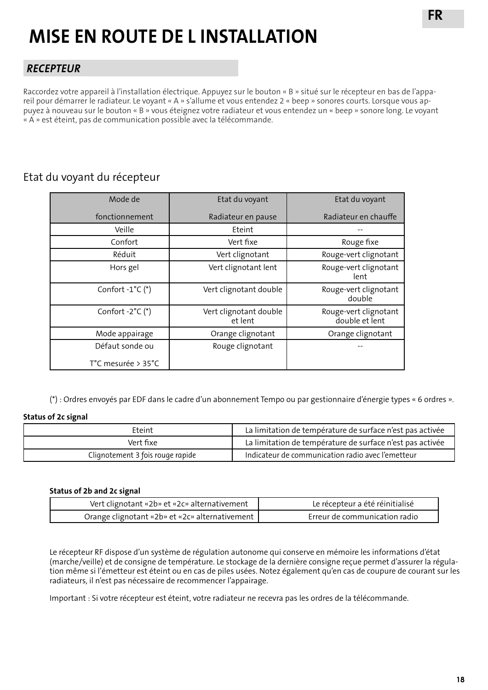## **MISE EN ROUTE DE L INSTALLATION**

### *RECEPTEUR*

Raccordez votre appareil à l'installation électrique. Appuyez sur le bouton « B » situé sur le récepteur en bas de l'appareil pour démarrer le radiateur. Le voyant « A » s'allume et vous entendez 2 « beep » sonores courts. Lorsque vous appuyez à nouveau sur le bouton « B » vous éteignez votre radiateur et vous entendez un « beep » sonore long. Le voyant « A » est éteint, pas de communication possible avec la télécommande.

### Etat du voyant du récepteur

| Mode de                   | Etat du voyant                    | Etat du voyant                          |
|---------------------------|-----------------------------------|-----------------------------------------|
| fonctionnement            | Radiateur en pause                | Radiateur en chauffe                    |
| Veille                    | Eteint                            |                                         |
| Confort                   | Vert fixe                         | Rouge fixe                              |
| Réduit                    | Vert clignotant                   | Rouge-vert clignotant                   |
| Hors gel                  | Vert clignotant lent              | Rouge-vert clignotant<br>lent           |
| Confort $-1^{\circ}C$ (*) | Vert clignotant double            | Rouge-vert clignotant<br>double         |
| Confort $-2^{\circ}C$ (*) | Vert clignotant double<br>et lent | Rouge-vert clignotant<br>double et lent |
| Mode appairage            | Orange clignotant                 | Orange clignotant                       |
| Défaut sonde ou           | Rouge clignotant                  |                                         |
| T°C mesurée > 35°C        |                                   |                                         |

(\*) : Ordres envoyés par EDF dans le cadre d'un abonnement Tempo ou par gestionnaire d'énergie types « 6 ordres ».

#### **Status of 2c signal**

| Fteint                           | La limitation de température de surface n'est pas activée |
|----------------------------------|-----------------------------------------------------------|
| Vert fixe                        | La limitation de température de surface n'est pas activée |
| Clignotement 3 fois rouge rapide | Indicateur de communication radio avec l'emetteur         |

#### **Status of 2b and 2c signal**

| Vert clignotant «2b» et «2c» alternativement     | Le récepteur a été réinitialisé |
|--------------------------------------------------|---------------------------------|
| Orange clignotant «2b» et «2c» alternativement 1 | Erreur de communication radio   |

Le récepteur RF dispose d'un système de régulation autonome qui conserve en mémoire les informations d'état (marche/veille) et de consigne de température. Le stockage de la dernière consigne reçue permet d'assurer la régulation même si l'émetteur est éteint ou en cas de piles usées. Notez également qu'en cas de coupure de courant sur les radiateurs, il n'est pas nécessaire de recommencer l'appairage.

Important : Si votre récepteur est éteint, votre radiateur ne recevra pas les ordres de la télécommande.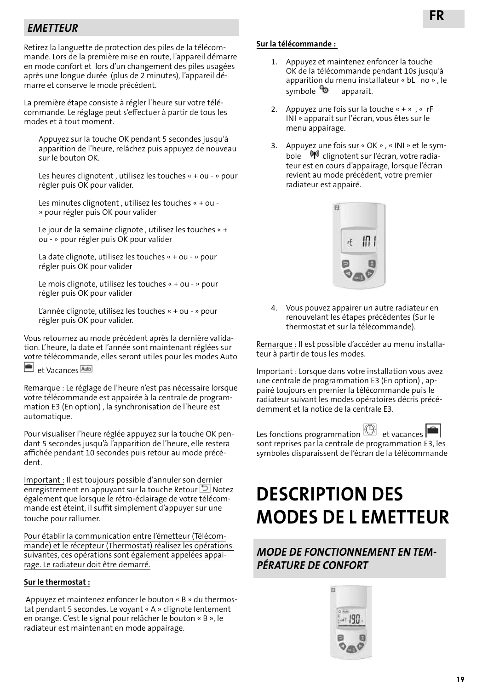### *EMETTEUR*

Retirez la languette de protection des piles de la télécommande. Lors de la première mise en route, l'appareil démarre en mode confort et lors d'un changement des piles usagées après une longue durée (plus de 2 minutes), l'appareil démarre et conserve le mode précédent.

La première étape consiste à régler l'heure sur votre télécommande. Le réglage peut s'effectuer à partir de tous les modes et à tout moment.

Appuyez sur la touche OK pendant 5 secondes jusqu'à apparition de l'heure, relâchez puis appuyez de nouveau sur le bouton OK.

Les heures clignotent , utilisez les touches « + ou - » pour régler puis OK pour valider.

Les minutes clignotent , utilisez les touches « + ou - » pour régler puis OK pour valider

Le jour de la semaine clignote , utilisez les touches « + ou - » pour régler puis OK pour valider

La date clignote, utilisez les touches « + ou - » pour régler puis OK pour valider

Le mois clignote, utilisez les touches « + ou - » pour régler puis OK pour valider

L'année clignote, utilisez les touches « + ou - » pour régler puis OK pour valider.

Vous retournez au mode précédent après la dernière validation. L'heure, la date et l'année sont maintenant réglées sur votre télécommande, elles seront utiles pour les modes Auto



Remarque : Le réglage de l'heure n'est pas nécessaire lorsque votre télécommande est appairée à la centrale de programmation E3 (En option) , la synchronisation de l'heure est automatique.

Pour visualiser l'heure réglée appuyez sur la touche OK pendant 5 secondes jusqu'à l'apparition de l'heure, elle restera affichée pendant 10 secondes puis retour au mode précédent.

Important : Il est toujours possible d'annuler son dernier enregistrement en appuyant sur la touche Retour  $\Box$  Notez également que lorsque le rétro-éclairage de votre télécommande est éteint, il suffit simplement d'appuyer sur une touche pour rallumer.

Pour établir la communication entre l'émetteur (Télécommande) et le récepteur (Thermostat) réalisez les opérations suivantes, ces opérations sont également appelées appairage. Le radiateur doit être demarré.

#### **Sur le thermostat :**

 Appuyez et maintenez enfoncer le bouton « B » du thermostat pendant 5 secondes. Le voyant « A » clignote lentement en orange. C'est le signal pour relâcher le bouton « B », le radiateur est maintenant en mode appairage.

#### **Sur la télécommande :**

- 1. Appuyez et maintenez enfoncer la touche OK de la télécommande pendant 10s jusqu'à apparition du menu installateur « bL no » , le symbole  $\bullet$  apparait.
- 2. Appuyez une fois sur la touche  $\alpha + \gamma$ ,  $\alpha$  rF INI » apparait sur l'écran, vous êtes sur le menu appairage.
- 3. Appuyez une fois sur « OK » , « INI » et le symbole <sup>(1)</sup> clignotent sur l'écran, votre radiateur est en cours d'appairage, lorsque l'écran revient au mode précédent, votre premier radiateur est appairé.



4. Vous pouvez appairer un autre radiateur en renouvelant les étapes précédentes (Sur le thermostat et sur la télécommande).

Remarque : Il est possible d'accéder au menu installateur à partir de tous les modes.

Important : Lorsque dans votre installation vous avez une centrale de programmation E3 (En option) , appairé toujours en premier la télécommande puis le radiateur suivant les modes opératoires décris précédemment et la notice de la centrale E3.



Les fonctions programmation **et** vacances sont reprises par la centrale de programmation E3, les symboles disparaissent de l'écran de la télécommande

## **DESCRIPTION DES MODES DE L EMETTEUR**

### *MODE DE FONCTIONNEMENT EN TEM-PÉRATURE DE CONFORT*

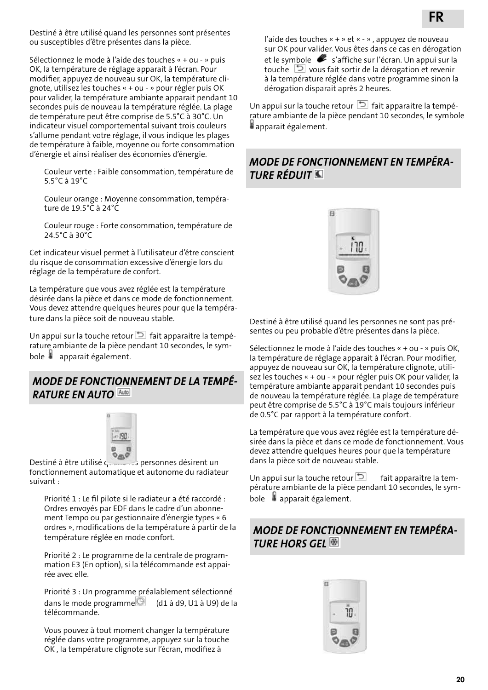Destiné à être utilisé quand les personnes sont présentes ou susceptibles d'être présentes dans la pièce.

Sélectionnez le mode à l'aide des touches « + ou - » puis OK, la température de réglage apparait à l'écran. Pour modifier, appuyez de nouveau sur OK, la température clignote, utilisez les touches « + ou - » pour régler puis OK pour valider, la température ambiante apparait pendant 10 secondes puis de nouveau la température réglée. La plage de température peut être comprise de 5.5°C à 30°C. Un indicateur visuel comportemental suivant trois couleurs s'allume pendant votre réglage, il vous indique les plages de température à faible, moyenne ou forte consommation d'énergie et ainsi réaliser des économies d'énergie.

Couleur verte : Faible consommation, température de 5.5°C à 19°C

Couleur orange : Moyenne consommation, température de 19.5°C à 24°C

Couleur rouge : Forte consommation, température de 24.5°C à 30°C

Cet indicateur visuel permet à l'utilisateur d'être conscient du risque de consommation excessive d'énergie lors du réglage de la température de confort.

La température que vous avez réglée est la température désirée dans la pièce et dans ce mode de fonctionnement. Vous devez attendre quelques heures pour que la température dans la pièce soit de nouveau stable.

Un appui sur la touche retour  $\Box$  fait apparaitre la température ambiante de la pièce pendant 10 secondes, le symbole  $\ddot{\phantom{a}}$  apparait également.

#### *MODE DE FONCTIONNEMENT DE LA TEMPÉ-RATURE EN AUTO*



Destiné à être utilisé quand les personnes désirent un fonctionnement automatique et autonome du radiateur suivant :

Priorité 1 : Le fil pilote si le radiateur a été raccordé : Ordres envoyés par EDF dans le cadre d'un abonnement Tempo ou par gestionnaire d'énergie types « 6 ordres », modifications de la température à partir de la température réglée en mode confort.

Priorité 2 : Le programme de la centrale de programmation E3 (En option), si la télécommande est appairée avec elle.

Priorité 3 : Un programme préalablement sélectionné dans le mode programme (d1 à d9, U1 à U9) de la télécommande.

Vous pouvez à tout moment changer la température réglée dans votre programme, appuyez sur la touche OK , la température clignote sur l'écran, modifiez à

Un appui sur la touche retour  $\Box$  fait apparaitre la température ambiante de la pièce pendant 10 secondes, le symbole apparait également.

### *MODE DE FONCTIONNEMENT EN TEMPÉRA-TURE RÉDUIT*



Destiné à être utilisé quand les personnes ne sont pas présentes ou peu probable d'être présentes dans la pièce.

Sélectionnez le mode à l'aide des touches « + ou - » puis OK, la température de réglage apparait à l'écran. Pour modifier, appuyez de nouveau sur OK, la température clignote, utilisez les touches « + ou - » pour régler puis OK pour valider, la température ambiante apparait pendant 10 secondes puis de nouveau la température réglée. La plage de température peut être comprise de 5.5°C à 19°C mais toujours inférieur de 0.5°C par rapport à la température confort.

La température que vous avez réglée est la température désirée dans la pièce et dans ce mode de fonctionnement. Vous devez attendre quelques heures pour que la température dans la pièce soit de nouveau stable.

Un appui sur la touche retour  $\Box$  fait apparaitre la température ambiante de la pièce pendant 10 secondes, le sym $b$ ole  $\Box$  apparait également.

### *MODE DE FONCTIONNEMENT EN TEMPÉRA-TURE HORS GEL*

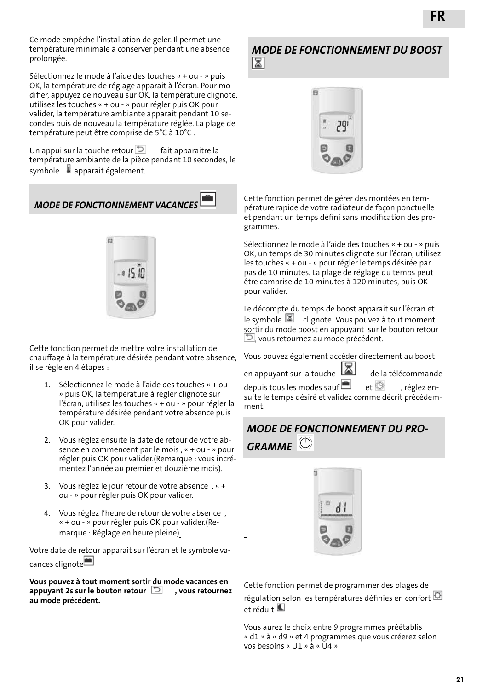Ce mode empêche l'installation de geler. Il permet une température minimale à conserver pendant une absence prolongée.

Sélectionnez le mode à l'aide des touches « + ou - » puis OK, la température de réglage apparait à l'écran. Pour modifier, appuyez de nouveau sur OK, la température clignote, utilisez les touches « + ou - » pour régler puis OK pour valider, la température ambiante apparait pendant 10 secondes puis de nouveau la température réglée. La plage de température peut être comprise de 5°C à 10°C .

Un appui sur la touche retour  $\Box$  fait apparaitre la température ambiante de la pièce pendant 10 secondes, le symbole  $\bullet$  apparait également.

 *MODE DE FONCTIONNEMENT VACANCES*



Cette fonction permet de mettre votre installation de chauffage à la température désirée pendant votre absence, il se règle en 4 étapes :

- 1. Sélectionnez le mode à l'aide des touches « + ou » puis OK, la température à régler clignote sur l'écran, utilisez les touches « + ou - » pour régler la température désirée pendant votre absence puis OK pour valider.
- 2. Vous réglez ensuite la date de retour de votre absence en commencent par le mois , « + ou - » pour régler puis OK pour valider.(Remarque : vous incrémentez l'année au premier et douzième mois).
- 3. Vous réglez le jour retour de votre absence , « + ou - » pour régler puis OK pour valider.
- 4. Vous réglez l'heure de retour de votre absence , « + ou - » pour régler puis OK pour valider.(Remarque : Réglage en heure pleine)

Votre date de retour apparait sur l'écran et le symbole vacances clignote<sup>n</sup>

#### **Vous pouvez à tout moment sortir du mode vacances en appuyant 2s sur le bouton retour**  $\Box$  vous retournez **au mode précédent.**

#### Cette fonction permet de gérer des montées en température rapide de votre radiateur de façon ponctuelle et pendant un temps défini sans modification des programmes.

Sélectionnez le mode à l'aide des touches « + ou - » puis OK, un temps de 30 minutes clignote sur l'écran, utilisez les touches « + ou - » pour régler le temps désirée par pas de 10 minutes. La plage de réglage du temps peut être comprise de 10 minutes à 120 minutes, puis OK pour valider.

Le décompte du temps de boost apparait sur l'écran et le symbole  $\boxed{2}$  clignote. Vous pouvez à tout moment sortir du mode boost en appuyant sur le bouton retour , vous retournez au mode précédent.

Vous pouvez également accéder directement au boost

en appuyant sur la touche **de la télécommande** depuis tous les modes sauf $\Box$  et  $\odot$  , réglez ensuite le temps désiré et validez comme décrit précédemment.

## *MODE DE FONCTIONNEMENT DU PRO-GRAMME*



J

Cette fonction permet de programmer des plages de régulation selon les températures définies en confort et réduit

Vous aurez le choix entre 9 programmes préétablis « d1 » à « d9 » et 4 programmes que vous créerez selon vos besoins « U1 » à « U4 »

#### *MODE DE FONCTIONNEMENT DU BOOST* ⊠

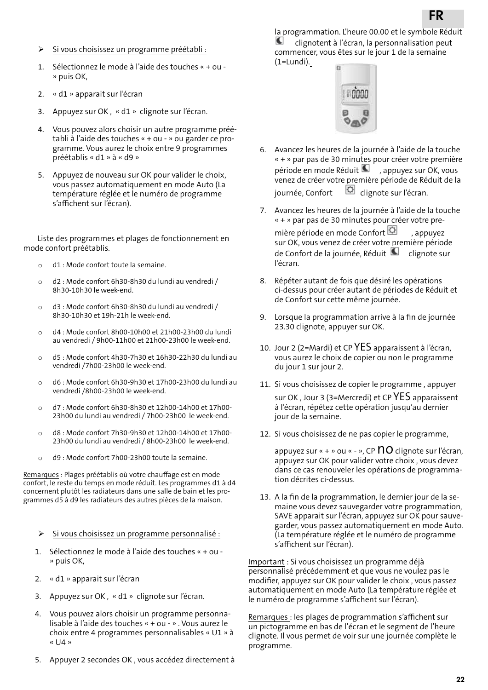- Si vous choisissez un programme préétabli :
- 1. Sélectionnez le mode à l'aide des touches « + ou » puis OK,
- 2. « d1 » apparait sur l'écran
- 3. Appuyez sur OK , « d1 » clignote sur l'écran.
- 4. Vous pouvez alors choisir un autre programme préétabli à l'aide des touches « + ou - » ou garder ce programme. Vous aurez le choix entre 9 programmes préétablis « d1 » à « d9 »
- 5. Appuyez de nouveau sur OK pour valider le choix, vous passez automatiquement en mode Auto (La température réglée et le numéro de programme s'affichent sur l'écran).

 Liste des programmes et plages de fonctionnement en mode confort préétablis.

- o d1 : Mode confort toute la semaine.
- o d2 : Mode confort 6h30-8h30 du lundi au vendredi / 8h30-10h30 le week-end.
- o d3 : Mode confort 6h30-8h30 du lundi au vendredi / 8h30-10h30 et 19h-21h le week-end.
- o d4 : Mode confort 8h00-10h00 et 21h00-23h00 du lundi au vendredi / 9h00-11h00 et 21h00-23h00 le week-end.
- o d5 : Mode confort 4h30-7h30 et 16h30-22h30 du lundi au vendredi /7h00-23h00 le week-end.
- o d6 : Mode confort 6h30-9h30 et 17h00-23h00 du lundi au vendredi /8h00-23h00 le week-end.
- o d7 : Mode confort 6h30-8h30 et 12h00-14h00 et 17h00- 23h00 du lundi au vendredi / 7h00-23h00 le week-end.
- o d8 : Mode confort 7h30-9h30 et 12h00-14h00 et 17h00- 23h00 du lundi au vendredi / 8h00-23h00 le week-end.
- o d9 : Mode confort 7h00-23h00 toute la semaine.

Remarques : Plages préétablis où votre chauffage est en mode confort, le reste du temps en mode réduit. Les programmes d1 à d4 concernent plutôt les radiateurs dans une salle de bain et les programmes d5 à d9 les radiateurs des autres pièces de la maison.

- $\triangleright$  Si vous choisissez un programme personnalisé :
- 1. Sélectionnez le mode à l'aide des touches « + ou » puis OK,
- 2. « d1 » apparait sur l'écran
- 3. Appuyez sur OK , « d1 » clignote sur l'écran.
- 4. Vous pouvez alors choisir un programme personnalisable à l'aide des touches « + ou - » . Vous aurez le choix entre 4 programmes personnalisables « U1 » à « U4 »
- 5. Appuyer 2 secondes OK , vous accédez directement à

la programmation. L'heure 00.00 et le symbole Réduit clignotent à l'écran, la personnalisation peut commencer, vous êtes sur le jour 1 de la semaine (1=Lundi).



- 6. Avancez les heures de la journée à l'aide de la touche « + » par pas de 30 minutes pour créer votre première période en mode Réduit  $\blacksquare$ , appuyez sur OK, vous venez de créer votre première période de Réduit de la journée, Confort <sup>Cl</sup>ignote sur l'écran.
- 7. Avancez les heures de la journée à l'aide de la touche « + » par pas de 30 minutes pour créer votre première période en mode Confort<sup>[C]</sup>, appuyez sur OK, vous venez de créer votre première période de Confort de la journée, Réduit **Q** clignote sur l'écran.
- 8. Répéter autant de fois que désiré les opérations ci-dessus pour créer autant de périodes de Réduit et de Confort sur cette même journée.
- 9. Lorsque la programmation arrive à la fin de journée 23.30 clignote, appuyer sur OK.
- 10. Jour 2 (2=Mardi) et CP YES apparaissent à l'écran, vous aurez le choix de copier ou non le programme du jour 1 sur jour 2.
- 11. Si vous choisissez de copier le programme , appuyer sur OK , Jour 3 (3=Mercredi) et CP YES apparaissent à l'écran, répétez cette opération jusqu'au dernier jour de la semaine.
- 12. Si vous choisissez de ne pas copier le programme,

appuyez sur « + » ou « - », CP  $\overline{10}$  clignote sur l'écran, appuyez sur OK pour valider votre choix , vous devez dans ce cas renouveler les opérations de programmation décrites ci-dessus.

13. A la fin de la programmation, le dernier jour de la semaine vous devez sauvegarder votre programmation, SAVE apparait sur l'écran, appuyez sur OK pour sauvegarder, vous passez automatiquement en mode Auto. (La température réglée et le numéro de programme s'affichent sur l'écran).

Important : Si vous choisissez un programme déjà personnalisé précédemment et que vous ne voulez pas le modifier, appuyez sur OK pour valider le choix , vous passez automatiquement en mode Auto (La température réglée et le numéro de programme s'affichent sur l'écran).

Remarques : les plages de programmation s'affichent sur un pictogramme en bas de l'écran et le segment de l'heure clignote. Il vous permet de voir sur une journée complète le programme.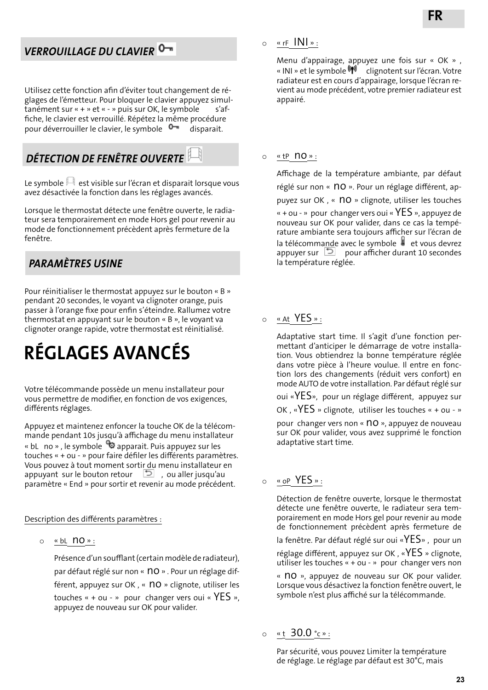### *VERROUILLAGE DU CLAVIER*

Utilisez cette fonction afin d'éviter tout changement de réglages de l'émetteur. Pour bloquer le clavier appuyez simultanément sur « + » et « - » puis sur OK, le symbole s'affiche, le clavier est verrouillé. Répétez la même procédure pour déverrouiller le clavier, le symbole <sup>0</sup> disparait.

## *DÉTECTION DE FENÊTRE OUVERTE*

Le symbole  $\mathbb{H}$  est visible sur l'écran et disparait lorsque vous avez désactivée la fonction dans les réglages avancés.

Lorsque le thermostat détecte une fenêtre ouverte, le radiateur sera temporairement en mode Hors gel pour revenir au mode de fonctionnement précèdent après fermeture de la fenêtre.

### *PARAMÈTRES USINE*

Pour réinitialiser le thermostat appuyez sur le bouton « B » pendant 20 secondes, le voyant va clignoter orange, puis passer à l'orange fixe pour enfin s'éteindre. Rallumez votre thermostat en appuyant sur le bouton « B », le voyant va clignoter orange rapide, votre thermostat est réinitialisé.

## **RÉGLAGES AVANCÉS**

Votre télécommande possède un menu installateur pour vous permettre de modifier, en fonction de vos exigences, différents réglages.

Appuyez et maintenez enfoncer la touche OK de la télécommande pendant 10s jusqu'à affichage du menu installateur « bL no », le symbole  $\bullet$  apparait. Puis appuyez sur les touches « + ou - » pour faire défiler les différents paramètres. Vous pouvez à tout moment sortir du menu installateur en appuyant sur le bouton retour **D**, ou aller jusqu'au paramètre « End » pour sortir et revenir au mode précédent.

Description des différents paramètres :

<sup>o</sup> « bL no » :

Présence d'un soufflant (certain modèle de radiateur), par défaut réglé sur non « nO ». Pour un réglage différent, appuyez sur OK, « no » clignote, utiliser les touches  $\kappa$  + ou - » pour changer vers oui  $\kappa$  YES », appuyez de nouveau sur OK pour valider.

 $\circ$  « rF  $\text{IN}$  »:

Menu d'appairage, appuyez une fois sur « OK » , « INI » et le symbole (1) clignotent sur l'écran. Votre radiateur est en cours d'appairage, lorsque l'écran revient au mode précédent, votre premier radiateur est appairé.

#### $\circ$  « tp  $\overline{no}$  » :

Affichage de la température ambiante, par défaut réglé sur non « no ». Pour un réglage différent, appuyez sur OK, « nO » clignote, utiliser les touches «  $+$  ou - » pour changer vers oui «  $YES$  », appuyez de nouveau sur OK pour valider, dans ce cas la température ambiante sera toujours afficher sur l'écran de la télécommande avec le symbole  $\bullet$  et vous devrez appuyer sur  $\Box$  pour afficher durant 10 secondes la température réglée.

### <sup>o</sup> « At YES » :

Adaptative start time. Il s'agit d'une fonction permettant d'anticiper le démarrage de votre installation. Vous obtiendrez la bonne température réglée dans votre pièce à l'heure voulue. Il entre en fonction lors des changements (réduit vers confort) en mode AUTO de votre installation. Par défaut réglé sur

oui «YES», pour un réglage différent, appuyez sur

OK , «YES » clignote, utiliser les touches « + ou - »

pour changer vers non « no », appuyez de nouveau sur OK pour valider, vous avez supprimé le fonction adaptative start time.

#### <sup>o</sup> « oP YES » :

Détection de fenêtre ouverte, lorsque le thermostat détecte une fenêtre ouverte, le radiateur sera temporairement en mode Hors gel pour revenir au mode de fonctionnement précèdent après fermeture de

la fenêtre. Par défaut réglé sur oui «YES» , pour un réglage différent, appuyez sur OK , «YES » clignote, utiliser les touches « + ou - » pour changer vers non

« no », appuyez de nouveau sur OK pour valider. Lorsque vous désactivez la fonction fenêtre ouvert, le symbole n'est plus affiché sur la télécommande.

```
\circ «t 30.0 °c »:
```
Par sécurité, vous pouvez Limiter la température de réglage. Le réglage par défaut est 30°C, mais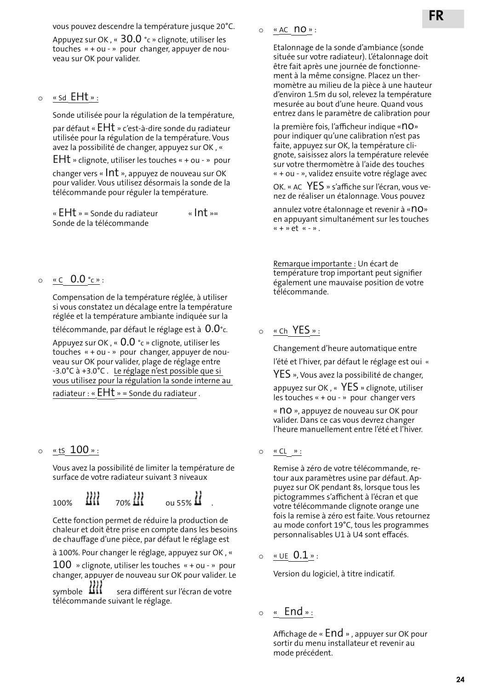vous pouvez descendre la température jusque 20°C.

Appuyez sur OK, «  $30.0$  °c » clignote, utiliser les touches « + ou - » pour changer, appuyer de nouveau sur OK pour valider.

#### <sup>o</sup> « Sd EHt » :

Sonde utilisée pour la régulation de la température,

par défaut « EHt » c'est-à-dire sonde du radiateur utilisée pour la régulation de la température. Vous avez la possibilité de changer, appuyez sur OK , «

EHt » clignote, utiliser les touches « + ou - » pour

changer vers « Int », appuyez de nouveau sur OK pour valider. Vous utilisez désormais la sonde de la télécommande pour réguler la température.

«  $E$ Ht » = Sonde du radiateur «Int »= Sonde de la télécommande

 $\circ$  « C  $0.0$  °c »:

Compensation de la température réglée, à utiliser si vous constatez un décalage entre la température réglée et la température ambiante indiquée sur la

télécommande, par défaut le réglage est à  $0.0^{\circ}$ c.

Appuyez sur OK, «  $0.0$  °c » clignote, utiliser les touches « + ou - » pour changer, appuyer de nouveau sur OK pour valider, plage de réglage entre -3.0°C à +3.0°C . Le réglage n'est possible que si vous utilisez pour la régulation la sonde interne au radiateur : «  $E$ H $t$  » = Sonde du radiateur .

#### <sup>o</sup> « tS 100 » :

Vous avez la possibilité de limiter la température de surface de votre radiateur suivant 3 niveaux

 $_{100\%}$   $\frac{111}{100\%}$   $_{20\%}$   $\frac{111}{100\%}$   $_{0.155\%}$   $\frac{111}{100\%}$ 

Cette fonction permet de réduire la production de chaleur et doit être prise en compte dans les besoins de chauffage d'une pièce, par défaut le réglage est

à 100%. Pour changer le réglage, appuyez sur OK , «

 $100$  » clignote, utiliser les touches « + ou - » pour changer, appuyer de nouveau sur OK pour valider. Le

symbole  $\frac{111}{11}$  sera différent sur l'écran de votre télécommande suivant le réglage.

o « AC no » :

Etalonnage de la sonde d'ambiance (sonde située sur votre radiateur). L'étalonnage doit être fait après une journée de fonctionnement à la même consigne. Placez un thermomètre au milieu de la pièce à une hauteur d'environ 1.5m du sol, relevez la température mesurée au bout d'une heure. Quand vous entrez dans le paramètre de calibration pour

la première fois, l'afficheur indique «no» pour indiquer qu'une calibration n'est pas faite, appuyez sur OK, la température clignote, saisissez alors la température relevée sur votre thermomètre à l'aide des touches « + ou - », validez ensuite votre réglage avec

OK. « AC YES » s'affiche sur l'écran, vous venez de réaliser un étalonnage. Vous pouvez

annulez votre étalonnage et revenir à «NO» en appuyant simultanément sur les touches  $\kappa$  + » et  $\kappa$  - ».

Remarque importante : Un écart de température trop important peut signifier également une mauvaise position de votre télécommande.

#### <sup>o</sup> « Ch YES » :

Changement d'heure automatique entre l'été et l'hiver, par défaut le réglage est oui «

YES », Vous avez la possibilité de changer,

appuyez sur OK , « YES » clignote, utiliser les touches « + ou - » pour changer vers

« NO », appuyez de nouveau sur OK pour valider. Dans ce cas vous devrez changer l'heure manuellement entre l'été et l'hiver.

 $\circ$  <u>« CL</u>  $\rightarrow$  :

Remise à zéro de votre télécommande, retour aux paramètres usine par défaut. Appuyez sur OK pendant 8s, lorsque tous les pictogrammes s'affichent à l'écran et que votre télécommande clignote orange une fois la remise à zéro est faite. Vous retournez au mode confort 19°C, tous les programmes personnalisables U1 à U4 sont effacés.

 $\circ$  « UE 0.1 »:

Version du logiciel, à titre indicatif.

<sup>o</sup> « End » :

Affichage de « End » , appuyer sur OK pour sortir du menu installateur et revenir au mode précédent.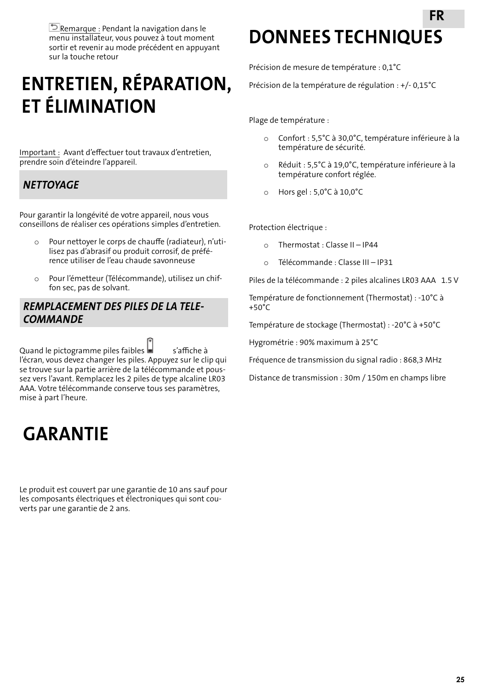$\triangleright$  Remarque : Pendant la navigation dans le menu installateur, vous pouvez à tout moment sortir et revenir au mode précédent en appuyant sur la touche retour

## **ENTRETIEN, RÉPARATION, ET ÉLIMINATION**

Important : Avant d'effectuer tout travaux d'entretien, prendre soin d'éteindre l'appareil.

### *NETTOYAGE*

Pour garantir la longévité de votre appareil, nous vous conseillons de réaliser ces opérations simples d'entretien.

- o Pour nettoyer le corps de chauffe (radiateur), n'utilisez pas d'abrasif ou produit corrosif, de préférence utiliser de l'eau chaude savonneuse
- o Pour l'émetteur (Télécommande), utilisez un chiffon sec, pas de solvant.

#### *REMPLACEMENT DES PILES DE LA TELE-COMMANDE*

Quand le pictogramme piles faibles  $\blacksquare$  s'affiche à l'écran, vous devez changer les piles. Appuyez sur le clip qui se trouve sur la partie arrière de la télécommande et poussez vers l'avant. Remplacez les 2 piles de type alcaline LR03 AAA. Votre télécommande conserve tous ses paramètres, mise à part l'heure.

## **GARANTIE**

Le produit est couvert par une garantie de 10 ans sauf pour les composants électriques et électroniques qui sont couverts par une garantie de 2 ans.

## **DONNEES TECHNIQUES FR**

Précision de mesure de température : 0,1°C

Précision de la température de régulation : +/- 0,15°C

Plage de température :

- o Confort : 5,5°C à 30,0°C, température inférieure à la température de sécurité.
- o Réduit : 5,5°C à 19,0°C, température inférieure à la température confort réglée.
- o Hors gel : 5,0°C à 10,0°C

Protection électrique :

- o Thermostat : Classe II IP44
- o Télécommande : Classe III IP31

Piles de la télécommande : 2 piles alcalines LR03 AAA 1.5 V

Température de fonctionnement (Thermostat) : -10°C à +50°C

Température de stockage (Thermostat) : -20°C à +50°C

Hygrométrie : 90% maximum à 25°C

Fréquence de transmission du signal radio : 868,3 MHz

Distance de transmission : 30m / 150m en champs libre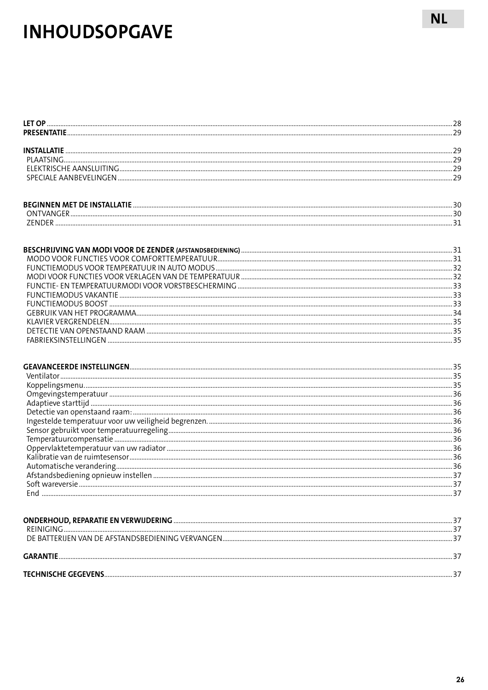## **INHOUDSOPGAVE**

| Soft wareversie | 37 |
|-----------------|----|
|                 |    |
|                 |    |
|                 |    |
|                 |    |
|                 |    |
|                 |    |

**NL**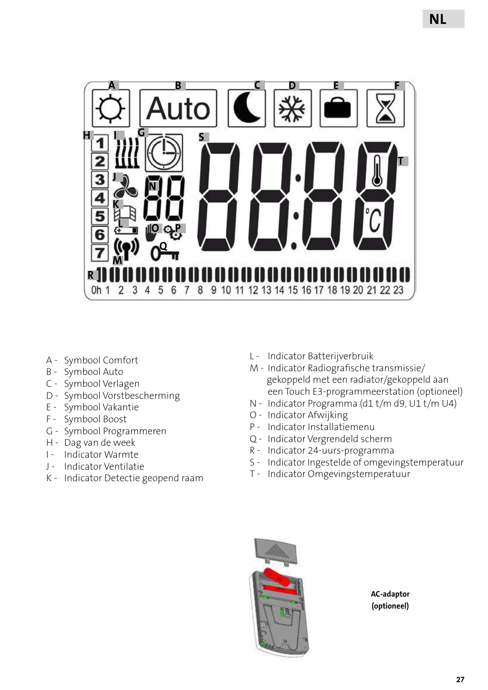

- A Symbool Comfort
- B Symbool Auto
- C Symbool Verlagen
- D Symbool Vorstbescherming
- E Symbool Vakantie
- F Symbool Boost
- G Symbool Programmeren
- H Dag van de week
- I Indicator Warmte
- J Indicator Ventilatie
- K Indicator Detectie geopend raam
- L Indicator Batterijverbruik
- M Indicator Radiografische transmissie/ gekoppeld met een radiator/gekoppeld aan een Touch E3-programmeerstation (optioneel)
- N Indicator Programma (d1 t/m d9, U1 t/m U4)
- O Indicator Afwijking
- P Indicator Installatiemenu
- Q Indicator Vergrendeld scherm
- R Indicator 24-uurs-programma
- S Indicator Ingestelde of omgevingstemperatuur
- T Indicator Omgevingstemperatuur



**AC-adaptor (optioneel)**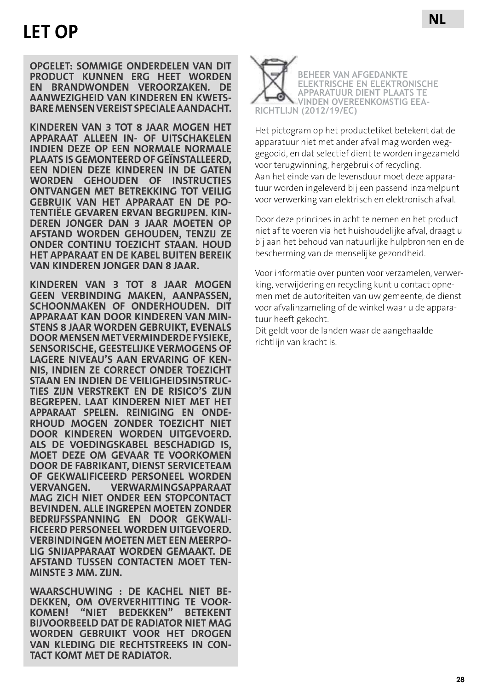**OPGELET: SOMMIGE ONDERDELEN VAN DIT PRODUCT KUNNEN ERG HEET WORDEN EN BRANDWONDEN VEROORZAKEN. DE AANWEZIGHEID VAN KINDEREN EN KWETS-BARE MENSEN VEREIST SPECIALE AANDACHT.**

**KINDEREN VAN 3 TOT 8 JAAR MOGEN HET APPARAAT ALLEEN IN- OF UITSCHAKELEN INDIEN DEZE OP EEN NORMALE NORMALE PLAATS IS GEMONTEERD OF GEÏNSTALLEERD, EEN NDIEN DEZE KINDEREN IN DE GATEN WORDEN GEHOUDEN OF INSTRUCTIES ONTVANGEN MET BETREKKING TOT VEILIG GEBRUIK VAN HET APPARAAT EN DE PO- TENTIËLE GEVAREN ERVAN BEGRIJPEN. KIN- DEREN JONGER DAN 3 JAAR MOETEN OP AFSTAND WORDEN GEHOUDEN, TENZIJ ZE ONDER CONTINU TOEZICHT STAAN. HOUD HET APPARAAT EN DE KABEL BUITEN BEREIK VAN KINDEREN JONGER DAN 8 JAAR.**

**KINDEREN VAN 3 TOT 8 JAAR MOGEN GEEN VERBINDING MAKEN, AANPASSEN, SCHOONMAKEN OF ONDERHOUDEN. DIT APPARAAT KAN DOOR KINDEREN VAN MIN-STENS 8 JAAR WORDEN GEBRUIKT, EVENALS DOOR MENSEN MET VERMINDERDE FYSIEKE, SENSORISCHE, GEESTELIJKE VERMOGENS OF LAGERE NIVEAU'S AAN ERVARING OF KEN- NIS, INDIEN ZE CORRECT ONDER TOEZICHT STAAN EN INDIEN DE VEILIGHEIDSINSTRUC- TIES ZIJN VERSTREKT EN DE RISICO'S ZIJN BEGREPEN. LAAT KINDEREN NIET MET HET APPARAAT SPELEN. REINIGING EN ONDE- RHOUD MOGEN ZONDER TOEZICHT NIET DOOR KINDEREN WORDEN UITGEVOERD. ALS DE VOEDINGSKABEL BESCHADIGD IS, MOET DEZE OM GEVAAR TE VOORKOMEN DOOR DE FABRIKANT, DIENST SERVICETEAM OF GEKWALIFICEERD PERSONEEL WORDEN VERVANGEN. VERWARMINGSAPPARAAT MAG ZICH NIET ONDER EEN STOPCONTACT BEVINDEN. ALLE INGREPEN MOETEN ZONDER BEDRIJFSSPANNING EN DOOR GEKWALI- FICEERD PERSONEEL WORDEN UITGEVOERD. LIG SNIJAPPARAAT WORDEN GEMAAKT. DE AFSTAND TUSSEN CONTACTEN MOET TEN- MINSTE 3 MM. ZIJN.** 

**WAARSCHUWING : DE KACHEL NIET BE- DEKKEN, OM OVERVERHITTING TE VOOR- KOMEN! "NIET BEDEKKEN" BETEKENT BIJVOORBEELD DAT DE RADIATOR NIET MAG WORDEN GEBRUIKT VOOR HET DROGEN VAN KLEDING DIE RECHTSTREEKS IN CON-TACT KOMT MET DE RADIATOR.**



**NL**

Het pictogram op het productetiket betekent dat de apparatuur niet met ander afval mag worden weggegooid, en dat selectief dient te worden ingezameld voor terugwinning, hergebruik of recycling. Aan het einde van de levensduur moet deze apparatuur worden ingeleverd bij een passend inzamelpunt voor verwerking van elektrisch en elektronisch afval.

Door deze principes in acht te nemen en het product niet af te voeren via het huishoudelijke afval, draagt u bij aan het behoud van natuurlijke hulpbronnen en de bescherming van de menselijke gezondheid.

Voor informatie over punten voor verzamelen, verwerking, verwijdering en recycling kunt u contact opnemen met de autoriteiten van uw gemeente, de dienst voor afvalinzameling of de winkel waar u de apparatuur heeft gekocht.

Dit geldt voor de landen waar de aangehaalde richtlijn van kracht is.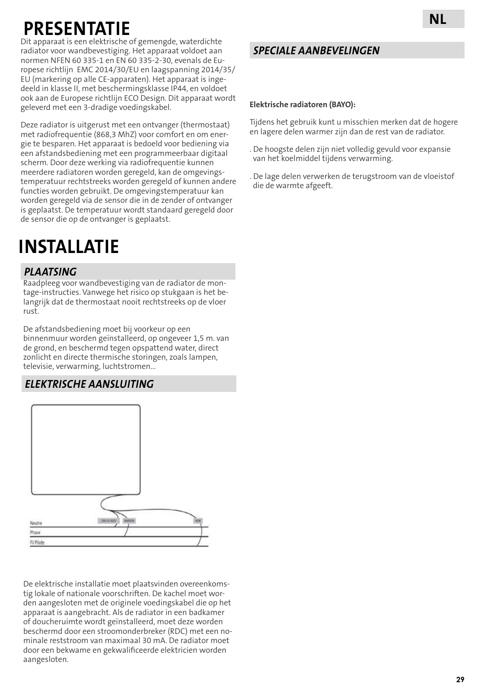## **PRESENTAT**

Dit apparaat is een elektrische of gemengde, waterdichte radiator voor wandbevestiging. Het apparaat voldoet aan normen NFEN 60 335-1 en EN 60 335-2-30, evenals de Europese richtlijn EMC 2014/30/EU en laagspanning 2014/35/ EU (markering op alle CE-apparaten). Het apparaat is ingedeeld in klasse II, met beschermingsklasse IP44, en voldoet ook aan de Europese richtlijn ECO Design. Dit apparaat wordt geleverd met een 3-dradige voedingskabel.

Deze radiator is uitgerust met een ontvanger (thermostaat) met radiofrequentie (868,3 MhZ) voor comfort en om energie te besparen. Het apparaat is bedoeld voor bediening via een afstandsbediening met een programmeerbaar digitaal scherm. Door deze werking via radiofrequentie kunnen meerdere radiatoren worden geregeld, kan de omgevingstemperatuur rechtstreeks worden geregeld of kunnen andere functies worden gebruikt. De omgevingstemperatuur kan worden geregeld via de sensor die in de zender of ontvanger is geplaatst. De temperatuur wordt standaard geregeld door de sensor die op de ontvanger is geplaatst.

## **INSTALLATIE**

### *PLAATSING*

Raadpleeg voor wandbevestiging van de radiator de montage-instructies. Vanwege het risico op stukgaan is het belangrijk dat de thermostaat nooit rechtstreeks op de vloer rust.

De afstandsbediening moet bij voorkeur op een binnenmuur worden geïnstalleerd, op ongeveer 1,5 m. van de grond, en beschermd tegen opspattend water, direct zonlicht en directe thermische storingen, zoals lampen, televisie, verwarming, luchtstromen...

### *ELEKTRISCHE AANSLUITING*



De elektrische installatie moet plaatsvinden overeenkomstig lokale of nationale voorschriften. De kachel moet worden aangesloten met de originele voedingskabel die op het apparaat is aangebracht. Als de radiator in een badkamer of doucheruimte wordt geïnstalleerd, moet deze worden beschermd door een stroomonderbreker (RDC) met een nominale reststroom van maximaal 30 mA. De radiator moet door een bekwame en gekwalificeerde elektricien worden aangesloten.

### *SPECIALE AANBEVELINGEN*

#### **Elektrische radiatoren (BAYO):**

Tijdens het gebruik kunt u misschien merken dat de hogere en lagere delen warmer zijn dan de rest van de radiator.

- . De hoogste delen zijn niet volledig gevuld voor expansie van het koelmiddel tijdens verwarming.
- . De lage delen verwerken de terugstroom van de vloeistof die de warmte afgeeft.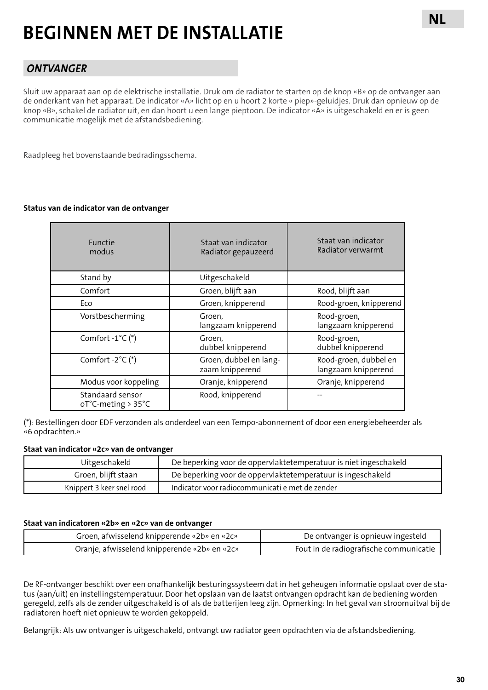## **BEGINNEN MET DE INSTALLATIE**

### *ONTVANGER*

Sluit uw apparaat aan op de elektrische installatie. Druk om de radiator te starten op de knop «B» op de ontvanger aan de onderkant van het apparaat. De indicator «A» licht op en u hoort 2 korte « piep»-geluidjes. Druk dan opnieuw op de knop «B», schakel de radiator uit, en dan hoort u een lange pieptoon. De indicator «A» is uitgeschakeld en er is geen communicatie mogelijk met de afstandsbediening.

Raadpleeg het bovenstaande bedradingsschema.

#### **Status van de indicator van de ontvanger**

| <b>Functie</b><br>modus                                    | Staat van indicator<br>Radiator gepauzeerd | Staat van indicator<br>Radiator verwarmt     |
|------------------------------------------------------------|--------------------------------------------|----------------------------------------------|
| Stand by                                                   | Uitgeschakeld                              |                                              |
| Comfort                                                    | Groen, blijft aan                          | Rood, blijft aan                             |
| Eco                                                        | Groen, knipperend                          | Rood-groen, knipperend                       |
| Vorstbescherming                                           | Groen.<br>langzaam knipperend              | Rood-groen,<br>langzaam knipperend           |
| Comfort $-1^{\circ}C$ (*)                                  | Groen.<br>dubbel knipperend                | Rood-groen,<br>dubbel knipperend             |
| Comfort $-2^{\circ}C$ (*)                                  | Groen, dubbel en lang-<br>zaam knipperend  | Rood-groen, dubbel en<br>langzaam knipperend |
| Modus voor koppeling                                       | Oranje, knipperend                         | Oranje, knipperend                           |
| Standaard sensor<br>$oT^{\circ}C$ -meting > 35 $^{\circ}C$ | Rood, knipperend                           |                                              |

(\*): Bestellingen door EDF verzonden als onderdeel van een Tempo-abonnement of door een energiebeheerder als «6 opdrachten.»

#### **Staat van indicator «2c» van de ontvanger**

| Uitgeschakeld             | De beperking voor de oppervlaktetemperatuur is niet ingeschakeld |
|---------------------------|------------------------------------------------------------------|
| Groen, blijft staan       | De beperking voor de oppervlaktetemperatuur is ingeschakeld      |
| Knippert 3 keer snel rood | Indicator voor radiocommunicati e met de zender                  |

#### **Staat van indicatoren «2b» en «2c» van de ontvanger**

| Groen, afwisselend knipperende «2b» en «2c»  | De ontvanger is opnieuw ingesteld      |
|----------------------------------------------|----------------------------------------|
| Oranje, afwisselend knipperende «2b» en «2c» | Fout in de radiografische communicatie |

De RF-ontvanger beschikt over een onafhankelijk besturingssysteem dat in het geheugen informatie opslaat over de status (aan/uit) en instellingstemperatuur. Door het opslaan van de laatst ontvangen opdracht kan de bediening worden geregeld, zelfs als de zender uitgeschakeld is of als de batterijen leeg zijn. Opmerking: In het geval van stroomuitval bij de radiatoren hoeft niet opnieuw te worden gekoppeld.

Belangrijk: Als uw ontvanger is uitgeschakeld, ontvangt uw radiator geen opdrachten via de afstandsbediening.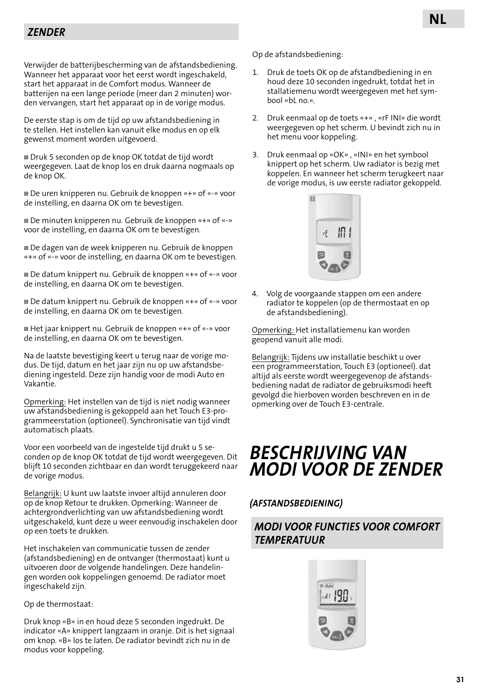Verwijder de batterijbescherming van de afstandsbediening. Wanneer het apparaat voor het eerst wordt ingeschakeld, start het apparaat in de Comfort modus. Wanneer de batterijen na een lange periode (meer dan 2 minuten) worden vervangen, start het apparaat op in de vorige modus.

De eerste stap is om de tijd op uw afstandsbediening in te stellen. Het instellen kan vanuit elke modus en op elk gewenst moment worden uitgevoerd.

 Druk 5 seconden op de knop OK totdat de tijd wordt weergegeven. Laat de knop los en druk daarna nogmaals op de knop OK.

 De uren knipperen nu. Gebruik de knoppen «+» of «-» voor de instelling, en daarna OK om te bevestigen.

 De minuten knipperen nu. Gebruik de knoppen «+» of «-» voor de instelling, en daarna OK om te bevestigen.

 De dagen van de week knipperen nu. Gebruik de knoppen «+» of «-» voor de instelling, en daarna OK om te bevestigen.

 De datum knippert nu. Gebruik de knoppen «+» of «-» voor de instelling, en daarna OK om te bevestigen.

 De datum knippert nu. Gebruik de knoppen «+» of «-» voor de instelling, en daarna OK om te bevestigen.

 Het jaar knippert nu. Gebruik de knoppen «+» of «-» voor de instelling, en daarna OK om te bevestigen.

Na de laatste bevestiging keert u terug naar de vorige modus. De tijd, datum en het jaar zijn nu op uw afstandsbediening ingesteld. Deze zijn handig voor de modi Auto en Vakantie.

Opmerking: Het instellen van de tijd is niet nodig wanneer uw afstandsbediening is gekoppeld aan het Touch E3-programmeerstation (optioneel). Synchronisatie van tijd vindt automatisch plaats.

Voor een voorbeeld van de ingestelde tijd drukt u 5 seconden op de knop OK totdat de tijd wordt weergegeven. Dit blijft 10 seconden zichtbaar en dan wordt teruggekeerd naar de vorige modus.

Belangrijk: U kunt uw laatste invoer altijd annuleren door op de knop Retour te drukken. Opmerking: Wanneer de achtergrondverlichting van uw afstandsbediening wordt uitgeschakeld, kunt deze u weer eenvoudig inschakelen door op een toets te drukken.

Het inschakelen van communicatie tussen de zender (afstandsbediening) en de ontvanger (thermostaat) kunt u uitvoeren door de volgende handelingen. Deze handelingen worden ook koppelingen genoemd. De radiator moet ingeschakeld zijn.

#### Op de thermostaat:

Druk knop «B» in en houd deze 5 seconden ingedrukt. De indicator «A» knippert langzaam in oranje. Dit is het signaal om knop. «B» los te laten. De radiator bevindt zich nu in de modus voor koppeling.

Op de afstandsbediening:

- 1. Druk de toets OK op de afstandbediening in en houd deze 10 seconden ingedrukt, totdat het in stallatiemenu wordt weergegeven met het symbool «bL no.».
- 2. Druk eenmaal op de toets «+» , «rF INI» die wordt weergegeven op het scherm. U bevindt zich nu in het menu voor koppeling.
- 3. Druk eenmaal op «OK» , «INI» en het symbool knippert op het scherm. Uw radiator is bezig met koppelen. En wanneer het scherm terugkeert naar de vorige modus, is uw eerste radiator gekoppeld.



4. Volg de voorgaande stappen om een andere radiator te koppelen (op de thermostaat en op de afstandsbediening).

Opmerking: Het installatiemenu kan worden geopend vanuit alle modi.

Belangrijk: Tijdens uw installatie beschikt u over een programmeerstation, Touch E3 (optioneel). dat altijd als eerste wordt weergegevenop de afstandsbediening nadat de radiator de gebruiksmodi heeft gevolgd die hierboven worden beschreven en in de opmerking over de Touch E3-centrale.

## *BESCHRIJVING VAN MODI VOOR DE ZENDER*

#### *(AFSTANDSBEDIENING)*

### *MODI VOOR FUNCTIES VOOR COMFORT TEMPERATUUR*

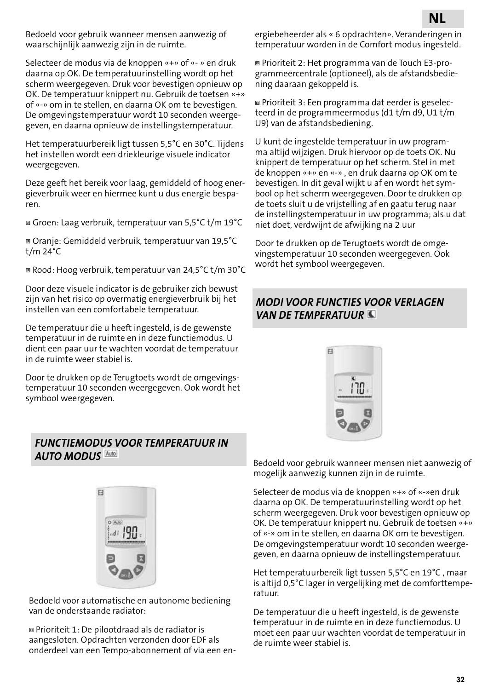Bedoeld voor gebruik wanneer mensen aanwezig of waarschijnlijk aanwezig zijn in de ruimte.

Selecteer de modus via de knoppen «+» of «- » en druk daarna op OK. De temperatuurinstelling wordt op het scherm weergegeven. Druk voor bevestigen opnieuw op OK. De temperatuur knippert nu. Gebruik de toetsen «+» of «-» om in te stellen, en daarna OK om te bevestigen. De omgevingstemperatuur wordt 10 seconden weergegeven, en daarna opnieuw de instellingstemperatuur.

Het temperatuurbereik ligt tussen 5,5°C en 30°C. Tijdens het instellen wordt een driekleurige visuele indicator weergegeven.

Deze geeft het bereik voor laag, gemiddeld of hoog energieverbruik weer en hiermee kunt u dus energie besparen.

Groen: Laag verbruik, temperatuur van 5,5°C t/m 19°C

 Oranje: Gemiddeld verbruik, temperatuur van 19,5°C t/m 24°C

Rood: Hoog verbruik, temperatuur van 24,5°C t/m 30°C

Door deze visuele indicator is de gebruiker zich bewust zijn van het risico op overmatig energieverbruik bij het instellen van een comfortabele temperatuur.

De temperatuur die u heeft ingesteld, is de gewenste temperatuur in de ruimte en in deze functiemodus. U dient een paar uur te wachten voordat de temperatuur in de ruimte weer stabiel is.

Door te drukken op de Terugtoets wordt de omgevingstemperatuur 10 seconden weergegeven. Ook wordt het symbool weergegeven.

#### *FUNCTIEMODUS VOOR TEMPERATUUR IN AUTO MODUS*



Bedoeld voor automatische en autonome bediening van de onderstaande radiator:

 Prioriteit 1: De pilootdraad als de radiator is aangesloten. Opdrachten verzonden door EDF als onderdeel van een Tempo-abonnement of via een energiebeheerder als « 6 opdrachten». Veranderingen in temperatuur worden in de Comfort modus ingesteld.

 Prioriteit 2: Het programma van de Touch E3-programmeercentrale (optioneel), als de afstandsbediening daaraan gekoppeld is.

 Prioriteit 3: Een programma dat eerder is geselecteerd in de programmeermodus (d1 t/m d9, U1 t/m U9) van de afstandsbediening.

U kunt de ingestelde temperatuur in uw programma altijd wijzigen. Druk hiervoor op de toets OK. Nu knippert de temperatuur op het scherm. Stel in met de knoppen «+» en «-» , en druk daarna op OK om te bevestigen. In dit geval wijkt u af en wordt het symbool op het scherm weergegeven. Door te drukken op de toets sluit u de vrijstelling af en gaatu terug naar de instellingstemperatuur in uw programma; als u dat niet doet, verdwijnt de afwijking na 2 uur

Door te drukken op de Terugtoets wordt de omgevingstemperatuur 10 seconden weergegeven. Ook wordt het symbool weergegeven.

### *MODI VOOR FUNCTIES VOOR VERLAGEN VAN DE TEMPERATUUR*



Bedoeld voor gebruik wanneer mensen niet aanwezig of mogelijk aanwezig kunnen zijn in de ruimte.

Selecteer de modus via de knoppen «+» of «-»en druk daarna op OK. De temperatuurinstelling wordt op het scherm weergegeven. Druk voor bevestigen opnieuw op OK. De temperatuur knippert nu. Gebruik de toetsen «+» of «-» om in te stellen, en daarna OK om te bevestigen. De omgevingstemperatuur wordt 10 seconden weergegeven, en daarna opnieuw de instellingstemperatuur.

Het temperatuurbereik ligt tussen 5,5°C en 19°C , maar is altijd 0,5°C lager in vergelijking met de comforttemperatuur.

De temperatuur die u heeft ingesteld, is de gewenste temperatuur in de ruimte en in deze functiemodus. U moet een paar uur wachten voordat de temperatuur in de ruimte weer stabiel is.

**NL**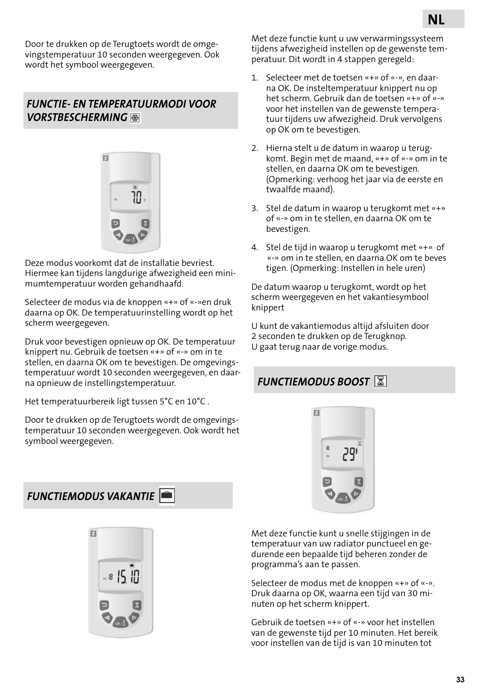Door te drukken op de Terugtoets wordt de omgevingstemperatuur 10 seconden weergegeven. Ook wordt het symbool weergegeven.

### *FUNCTIE- EN TEMPERATUURMODI VOOR VORSTBESCHERMING*



Deze modus voorkomt dat de installatie bevriest. Hiermee kan tijdens langdurige afwezigheid een minimumtemperatuur worden gehandhaafd.

Selecteer de modus via de knoppen «+» of «-»en druk daarna op OK. De temperatuurinstelling wordt op het scherm weergegeven.

Druk voor bevestigen opnieuw op OK. De temperatuur knippert nu. Gebruik de toetsen «+» of «-» om in te stellen, en daarna OK om te bevestigen. De omgevingstemperatuur wordt 10 seconden weergegeven, en daarna opnieuw de instellingstemperatuur.

Het temperatuurbereik ligt tussen 5°C en 10°C .

Door te drukken op de Terugtoets wordt de omgevingstemperatuur 10 seconden weergegeven. Ook wordt het symbool weergegeven.

*FUNCTIEMODUS VAKANTIE* 



Met deze functie kunt u uw verwarmingssysteem tijdens afwezigheid instellen op de gewenste temperatuur. Dit wordt in 4 stappen geregeld:

- 1. Selecteer met de toetsen «+» of «-», en daarna OK. De insteltemperatuur knippert nu op het scherm. Gebruik dan de toetsen «+» of «-» voor het instellen van de gewenste temperatuur tijdens uw afwezigheid. Druk vervolgens op OK om te bevestigen.
- 2. Hierna stelt u de datum in waarop u terugkomt. Begin met de maand, «+» of «-» om in te stellen, en daarna OK om te bevestigen. (Opmerking: verhoog het jaar via de eerste en twaalfde maand).
- 3. Stel de datum in waarop u terugkomt met «+» of «-» om in te stellen, en daarna OK om te bevestigen.
- 4. Stel de tijd in waarop u terugkomt met «+» of «-» om in te stellen, en daarna OK om te beves tigen. (Opmerking: Instellen in hele uren)

De datum waarop u terugkomt, wordt op het scherm weergegeven en het vakantiesymbool knippert

U kunt de vakantiemodus altijd afsluiten door 2 seconden te drukken op de Terugknop. U gaat terug naar de vorige modus.

## *FUNCTIEMODUS BOOST*



Met deze functie kunt u snelle stijgingen in de temperatuur van uw radiator punctueel en gedurende een bepaalde tijd beheren zonder de programma's aan te passen.

Selecteer de modus met de knoppen «+» of «-». Druk daarna op OK, waarna een tijd van 30 minuten op het scherm knippert.

Gebruik de toetsen «+» of «-» voor het instellen van de gewenste tijd per 10 minuten. Het bereik voor instellen van de tijd is van 10 minuten tot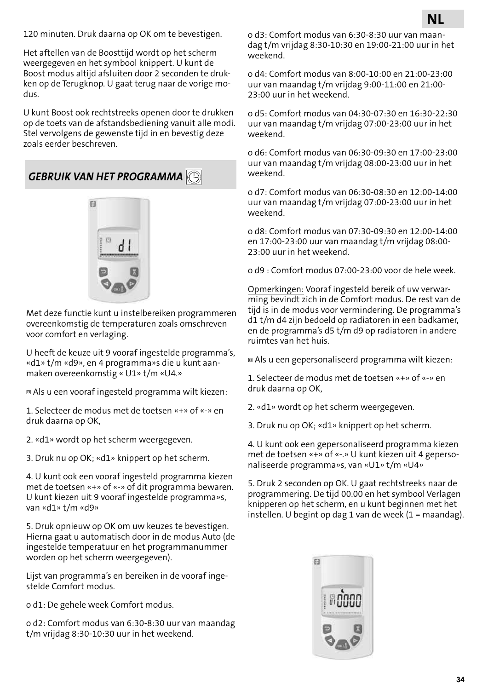120 minuten. Druk daarna op OK om te bevestigen.

Het aftellen van de Boosttijd wordt op het scherm weergegeven en het symbool knippert. U kunt de Boost modus altijd afsluiten door 2 seconden te drukken op de Terugknop. U gaat terug naar de vorige modus.

U kunt Boost ook rechtstreeks openen door te drukken op de toets van de afstandsbediening vanuit alle modi. Stel vervolgens de gewenste tijd in en bevestig deze zoals eerder beschreven.

*GEBRUIK VAN HET PROGRAMMA* 



Met deze functie kunt u instelbereiken programmeren overeenkomstig de temperaturen zoals omschreven voor comfort en verlaging.

U heeft de keuze uit 9 vooraf ingestelde programma's, «d1» t/m «d9», en 4 programma»s die u kunt aanmaken overeenkomstig « U1» t/m «U4.»

Als u een vooraf ingesteld programma wilt kiezen:

1. Selecteer de modus met de toetsen «+» of «-» en druk daarna op OK,

2. «d1» wordt op het scherm weergegeven.

3. Druk nu op OK; «d1» knippert op het scherm.

4. U kunt ook een vooraf ingesteld programma kiezen met de toetsen «+» of «-» of dit programma bewaren. U kunt kiezen uit 9 vooraf ingestelde programma»s, van «d1» t/m «d9»

5. Druk opnieuw op OK om uw keuzes te bevestigen. Hierna gaat u automatisch door in de modus Auto (de ingestelde temperatuur en het programmanummer worden op het scherm weergegeven).

Lijst van programma's en bereiken in de vooraf ingestelde Comfort modus.

o d1: De gehele week Comfort modus.

o d2: Comfort modus van 6:30-8:30 uur van maandag t/m vrijdag 8:30-10:30 uur in het weekend.

o d3: Comfort modus van 6:30-8:30 uur van maandag t/m vrijdag 8:30-10:30 en 19:00-21:00 uur in het weekend.

o d4: Comfort modus van 8:00-10:00 en 21:00-23:00 uur van maandag t/m vrijdag 9:00-11:00 en 21:00- 23:00 uur in het weekend.

o d5: Comfort modus van 04:30-07:30 en 16:30-22:30 uur van maandag t/m vrijdag 07:00-23:00 uur in het weekend.

o d6: Comfort modus van 06:30-09:30 en 17:00-23:00 uur van maandag t/m vrijdag 08:00-23:00 uur in het weekend.

o d7: Comfort modus van 06:30-08:30 en 12:00-14:00 uur van maandag t/m vrijdag 07:00-23:00 uur in het weekend.

o d8: Comfort modus van 07:30-09:30 en 12:00-14:00 en 17:00-23:00 uur van maandag t/m vrijdag 08:00- 23:00 uur in het weekend.

o d9 : Comfort modus 07:00-23:00 voor de hele week.

Opmerkingen: Vooraf ingesteld bereik of uw verwarming bevindt zich in de Comfort modus. De rest van de tijd is in de modus voor vermindering. De programma's d1 t/m d4 zijn bedoeld op radiatoren in een badkamer, en de programma's d5 t/m d9 op radiatoren in andere ruimtes van het huis.

Als u een gepersonaliseerd programma wilt kiezen:

1. Selecteer de modus met de toetsen «+» of «-» en druk daarna op OK,

2. «d1» wordt op het scherm weergegeven.

3. Druk nu op OK; «d1» knippert op het scherm.

4. U kunt ook een gepersonaliseerd programma kiezen met de toetsen «+» of «-.» U kunt kiezen uit 4 gepersonaliseerde programma»s, van «U1» t/m «U4»

5. Druk 2 seconden op OK. U gaat rechtstreeks naar de programmering. De tijd 00.00 en het symbool Verlagen knipperen op het scherm, en u kunt beginnen met het instellen. U begint op dag 1 van de week (1 = maandag).

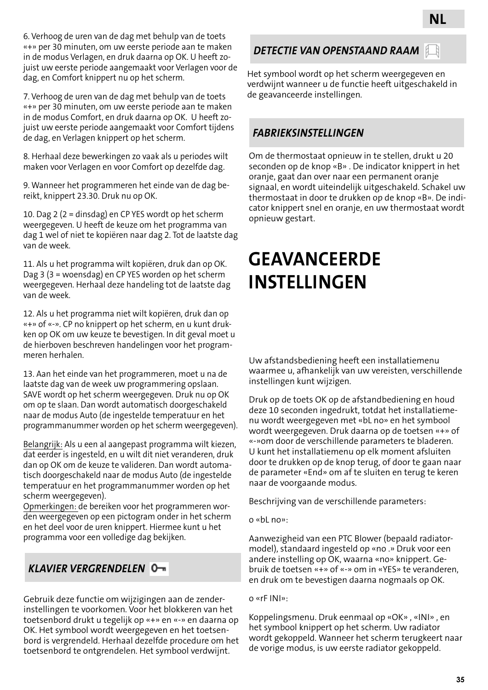6. Verhoog de uren van de dag met behulp van de toets «+» per 30 minuten, om uw eerste periode aan te maken in de modus Verlagen, en druk daarna op OK. U heeft zojuist uw eerste periode aangemaakt voor Verlagen voor de dag, en Comfort knippert nu op het scherm.

7. Verhoog de uren van de dag met behulp van de toets «+» per 30 minuten, om uw eerste periode aan te maken in de modus Comfort, en druk daarna op OK. U heeft zojuist uw eerste periode aangemaakt voor Comfort tijdens de dag, en Verlagen knippert op het scherm.

8. Herhaal deze bewerkingen zo vaak als u periodes wilt maken voor Verlagen en voor Comfort op dezelfde dag.

9. Wanneer het programmeren het einde van de dag bereikt, knippert 23.30. Druk nu op OK.

10. Dag 2 (2 = dinsdag) en CP YES wordt op het scherm weergegeven. U heeft de keuze om het programma van dag 1 wel of niet te kopiëren naar dag 2. Tot de laatste dag van de week.

11. Als u het programma wilt kopiëren, druk dan op OK. Dag 3 (3 = woensdag) en CP YES worden op het scherm weergegeven. Herhaal deze handeling tot de laatste dag van de week.

12. Als u het programma niet wilt kopiëren, druk dan op «+» of «-». CP no knippert op het scherm, en u kunt drukken op OK om uw keuze te bevestigen. In dit geval moet u de hierboven beschreven handelingen voor het programmeren herhalen.

13. Aan het einde van het programmeren, moet u na de laatste dag van de week uw programmering opslaan. SAVE wordt op het scherm weergegeven. Druk nu op OK om op te slaan. Dan wordt automatisch doorgeschakeld naar de modus Auto (de ingestelde temperatuur en het programmanummer worden op het scherm weergegeven).

Belangrijk: Als u een al aangepast programma wilt kiezen, dat eerder is ingesteld, en u wilt dit niet veranderen, druk dan op OK om de keuze te valideren. Dan wordt automatisch doorgeschakeld naar de modus Auto (de ingestelde temperatuur en het programmanummer worden op het scherm weergegeven).

Opmerkingen: de bereiken voor het programmeren worden weergegeven op een pictogram onder in het scherm en het deel voor de uren knippert. Hiermee kunt u het programma voor een volledige dag bekijken.

### *KLAVIER VERGRENDELEN*

Gebruik deze functie om wijzigingen aan de zenderinstellingen te voorkomen. Voor het blokkeren van het toetsenbord drukt u tegelijk op «+» en «-» en daarna op OK. Het symbool wordt weergegeven en het toetsenbord is vergrendeld. Herhaal dezelfde procedure om het toetsenbord te ontgrendelen. Het symbool verdwijnt.

### *DETECTIE VAN OPENSTAAND RAAM*

Het symbool wordt op het scherm weergegeven en verdwijnt wanneer u de functie heeft uitgeschakeld in de geavanceerde instellingen.

**NL**

### *FABRIEKSINSTELLINGEN*

Om de thermostaat opnieuw in te stellen, drukt u 20 seconden op de knop «B» . De indicator knippert in het oranje, gaat dan over naar een permanent oranje signaal, en wordt uiteindelijk uitgeschakeld. Schakel uw thermostaat in door te drukken op de knop «B». De indicator knippert snel en oranje, en uw thermostaat wordt opnieuw gestart.

## **GEAVANCEERDE INSTELLINGEN**

Uw afstandsbediening heeft een installatiemenu waarmee u, afhankelijk van uw vereisten, verschillende instellingen kunt wijzigen.

Druk op de toets OK op de afstandbediening en houd deze 10 seconden ingedrukt, totdat het installatiemenu wordt weergegeven met «bL no» en het symbool wordt weergegeven. Druk daarna op de toetsen «+» of «-»om door de verschillende parameters te bladeren. U kunt het installatiemenu op elk moment afsluiten door te drukken op de knop terug, of door te gaan naar de parameter «End» om af te sluiten en terug te keren naar de voorgaande modus.

Beschrijving van de verschillende parameters:

o «bL no»:

Aanwezigheid van een PTC Blower (bepaald radiatormodel), standaard ingesteld op «no .» Druk voor een andere instelling op OK, waarna «no» knippert. Gebruik de toetsen «+» of «-» om in «YES» te veranderen, en druk om te bevestigen daarna nogmaals op OK.

o «rF INI»:

Koppelingsmenu. Druk eenmaal op «OK» , «INI» , en het symbool knippert op het scherm. Uw radiator wordt gekoppeld. Wanneer het scherm terugkeert naar de vorige modus, is uw eerste radiator gekoppeld.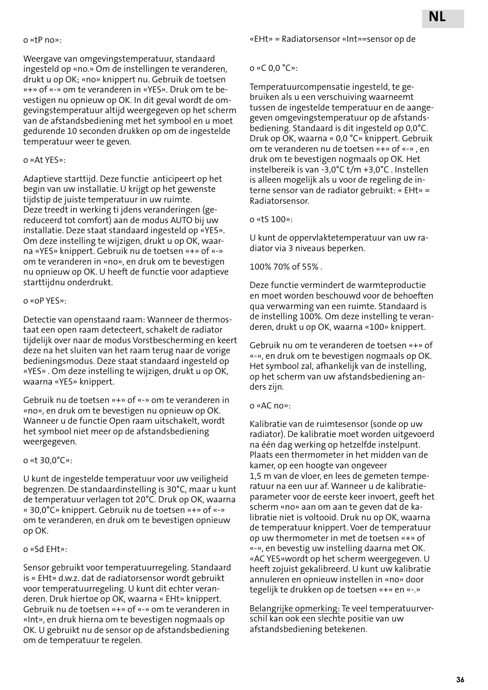#### o «tP no»:

Weergave van omgevingstemperatuur, standaard ingesteld op «no.» Om de instellingen te veranderen, drukt u op OK; «no» knippert nu. Gebruik de toetsen «+» of «-» om te veranderen in «YES». Druk om te bevestigen nu opnieuw op OK. In dit geval wordt de omgevingstemperatuur altijd weergegeven op het scherm van de afstandsbediening met het symbool en u moet gedurende 10 seconden drukken op om de ingestelde temperatuur weer te geven.

#### o «At YES»:

Adaptieve starttijd. Deze functie anticipeert op het begin van uw installatie. U krijgt op het gewenste tijdstip de juiste temperatuur in uw ruimte. Deze treedt in werking ti jdens veranderingen (gereduceerd tot comfort) aan de modus AUTO bij uw installatie. Deze staat standaard ingesteld op «YES». Om deze instelling te wijzigen, drukt u op OK, waarna «YES» knippert. Gebruik nu de toetsen «+» of «-» om te veranderen in «no», en druk om te bevestigen nu opnieuw op OK. U heeft de functie voor adaptieve starttijdnu onderdrukt.

#### o «oP YES»:

Detectie van openstaand raam: Wanneer de thermostaat een open raam detecteert, schakelt de radiator tijdelijk over naar de modus Vorstbescherming en keert deze na het sluiten van het raam terug naar de vorige bedieningsmodus. Deze staat standaard ingesteld op «YES» . Om deze instelling te wijzigen, drukt u op OK, waarna «YES» knippert.

Gebruik nu de toetsen «+» of «-» om te veranderen in «no», en druk om te bevestigen nu opnieuw op OK. Wanneer u de functie Open raam uitschakelt, wordt het symbool niet meer op de afstandsbediening weergegeven.

#### o «t 30,0°C»:

U kunt de ingestelde temperatuur voor uw veiligheid begrenzen. De standaardinstelling is 30°C, maar u kunt de temperatuur verlagen tot 20°C. Druk op OK, waarna « 30,0°C» knippert. Gebruik nu de toetsen «+» of «-» om te veranderen, en druk om te bevestigen opnieuw op OK.

#### o «Sd EHt»:

Sensor gebruikt voor temperatuurregeling. Standaard is « EHt» d.w.z. dat de radiatorsensor wordt gebruikt voor temperatuurregeling. U kunt dit echter veranderen. Druk hiertoe op OK, waarna « EHt» knippert. Gebruik nu de toetsen «+» of «-» om te veranderen in «Int», en druk hierna om te bevestigen nogmaals op OK. U gebruikt nu de sensor op de afstandsbediening om de temperatuur te regelen.

#### o «C 0,0 °C»:

Temperatuurcompensatie ingesteld, te gebruiken als u een verschuiving waarneemt tussen de ingestelde temperatuur en de aangegeven omgevingstemperatuur op de afstandsbediening. Standaard is dit ingesteld op 0,0°C. Druk op OK, waarna « 0,0 °C» knippert. Gebruik om te veranderen nu de toetsen «+» of «-» , en druk om te bevestigen nogmaals op OK. Het instelbereik is van -3,0°C t/m +3,0°C . Instellen is alleen mogelijk als u voor de regeling de interne sensor van de radiator gebruikt: « EHt» = Radiatorsensor.

#### o «tS 100»:

U kunt de oppervlaktetemperatuur van uw radiator via 3 niveaus beperken.

100% 70% of 55% .

Deze functie vermindert de warmteproductie en moet worden beschouwd voor de behoeften qua verwarming van een ruimte. Standaard is de instelling 100%. Om deze instelling te veranderen, drukt u op OK, waarna «100» knippert.

Gebruik nu om te veranderen de toetsen «+» of «-», en druk om te bevestigen nogmaals op OK. Het symbool zal, afhankelijk van de instelling, op het scherm van uw afstandsbediening anders zijn.

#### o «AC no»:

Kalibratie van de ruimtesensor (sonde op uw radiator). De kalibratie moet worden uitgevoerd na één dag werking op hetzelfde instelpunt. Plaats een thermometer in het midden van de kamer, op een hoogte van ongeveer 1,5 m van de vloer, en lees de gemeten temperatuur na een uur af. Wanneer u de kalibratieparameter voor de eerste keer invoert, geeft het scherm «no» aan om aan te geven dat de kalibratie niet is voltooid. Druk nu op OK, waarna de temperatuur knippert. Voer de temperatuur op uw thermometer in met de toetsen «+» of «-», en bevestig uw instelling daarna met OK. «AC YES»wordt op het scherm weergegeven. U heeft zojuist gekalibreerd. U kunt uw kalibratie annuleren en opnieuw instellen in «no» door tegelijk te drukken op de toetsen «+» en «-.»

Belangrijke opmerking: Te veel temperatuurverschil kan ook een slechte positie van uw afstandsbediening betekenen.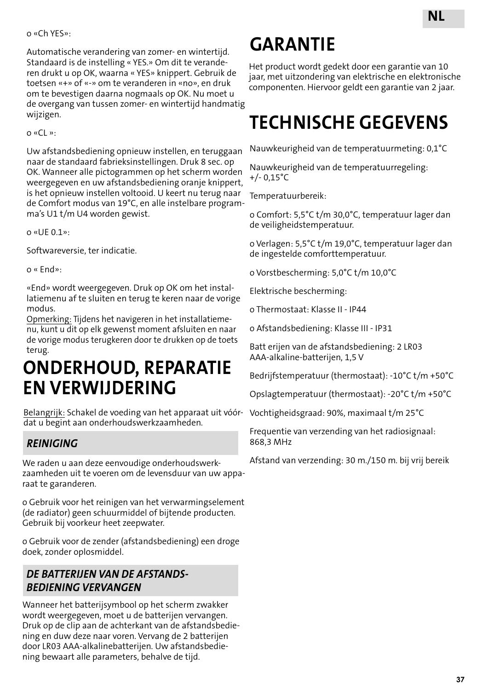#### o «Ch YES»:

Automatische verandering van zomer- en wintertijd. Standaard is de instelling « YES.» Om dit te veranderen drukt u op OK, waarna « YES» knippert. Gebruik de toetsen «+» of «-» om te veranderen in «no», en druk om te bevestigen daarna nogmaals op OK. Nu moet u de overgang van tussen zomer- en wintertijd handmatig wijzigen.

o «CL »:

Uw afstandsbediening opnieuw instellen, en teruggaan naar de standaard fabrieksinstellingen. Druk 8 sec. op OK. Wanneer alle pictogrammen op het scherm worden weergegeven en uw afstandsbediening oranje knippert, is het opnieuw instellen voltooid. U keert nu terug naar de Comfort modus van 19°C, en alle instelbare programma's U1 t/m U4 worden gewist.

o «UE 0.1»:

Softwareversie, ter indicatie.

o « End»:

«End» wordt weergegeven. Druk op OK om het installatiemenu af te sluiten en terug te keren naar de vorige modus.

Opmerking: Tijdens het navigeren in het installatiemenu, kunt u dit op elk gewenst moment afsluiten en naar de vorige modus terugkeren door te drukken op de toets terug.

## **ONDERHOUD, REPARATIE EN VERWIJDERING**

Belangrijk: Schakel de voeding van het apparaat uit vóórdat u begint aan onderhoudswerkzaamheden.

### *REINIGING*

We raden u aan deze eenvoudige onderhoudswerkzaamheden uit te voeren om de levensduur van uw apparaat te garanderen.

o Gebruik voor het reinigen van het verwarmingselement (de radiator) geen schuurmiddel of bijtende producten. Gebruik bij voorkeur heet zeepwater.

o Gebruik voor de zender (afstandsbediening) een droge doek, zonder oplosmiddel.

#### *DE BATTERIJEN VAN DE AFSTANDS-BEDIENING VERVANGEN*

Wanneer het batterijsymbool op het scherm zwakker wordt weergegeven, moet u de batterijen vervangen. Druk op de clip aan de achterkant van de afstandsbediening en duw deze naar voren. Vervang de 2 batterijen door LR03 AAA-alkalinebatterijen. Uw afstandsbediening bewaart alle parameters, behalve de tijd.

## **GARANTIE**

Het product wordt gedekt door een garantie van 10 jaar, met uitzondering van elektrische en elektronische componenten. Hiervoor geldt een garantie van 2 jaar.

## **TECHNISCHE GEGEVENS**

Nauwkeurigheid van de temperatuurmeting: 0,1°C

Nauwkeurigheid van de temperatuurregeling: +/- 0,15°C

Temperatuurbereik:

o Comfort: 5,5°C t/m 30,0°C, temperatuur lager dan de veiligheidstemperatuur.

o Verlagen: 5,5°C t/m 19,0°C, temperatuur lager dan de ingestelde comforttemperatuur.

o Vorstbescherming: 5,0°C t/m 10,0°C

Elektrische bescherming:

o Thermostaat: Klasse II - IP44

o Afstandsbediening: Klasse III - IP31

Batt erijen van de afstandsbediening: 2 LR03 AAA-alkaline-batterijen, 1,5 V

Bedrijfstemperatuur (thermostaat): -10°C t/m +50°C

Opslagtemperatuur (thermostaat): -20°C t/m +50°C

Vochtigheidsgraad: 90%, maximaal t/m 25°C

Frequentie van verzending van het radiosignaal: 868,3 MHz

Afstand van verzending: 30 m./150 m. bij vrij bereik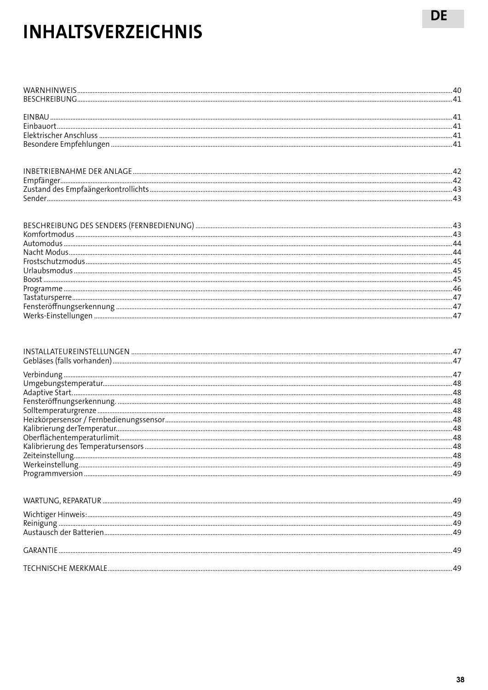## **INHALTSVERZEICHNIS**

| INBETRIFBNAHME DER ANIAGE. |  |
|----------------------------|--|
| Empfänger                  |  |
|                            |  |
|                            |  |

| Wichtiger Hinweis |  |
|-------------------|--|

| <b>GARANTIF</b>     |  |
|---------------------|--|
| TECHNISCHE MERKMALE |  |

**DE**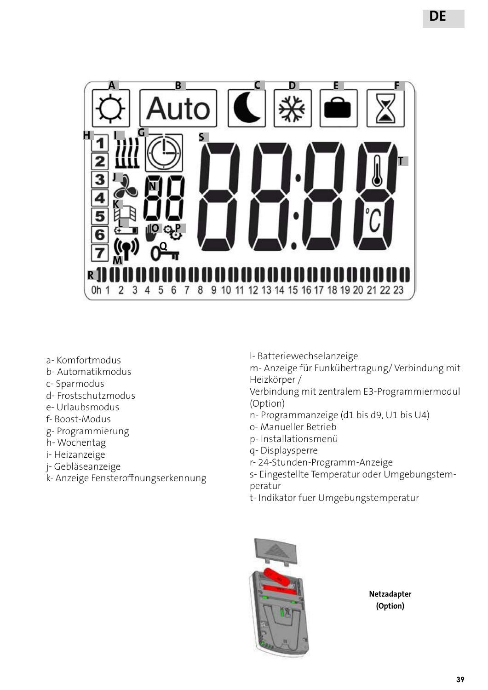

- a- Komfortmodus
- b- Automatikmodus
- c- Sparmodus
- d- Frostschutzmodus
- e- Urlaubsmodus
- f- Boost-Modus
- g- Programmierung
- h- Wochentag
- i- Heizanzeige
- j- Gebläseanzeige
- k- Anzeige Fensteroffnungserkennung

l- Batteriewechselanzeige

m- Anzeige für Funkübertragung/ Verbindung mit Heizkörper /

Verbindung mit zentralem E3-Programmiermodul (Option)

- n- Programmanzeige (d1 bis d9, U1 bis U4)
- o- Manueller Betrieb
- p- Installationsmenü
- q- Displaysperre
- r- 24-Stunden-Programm-Anzeige
- s- Eingestellte Temperatur oder Umgebungstemperatur
- t- Indikator fuer Umgebungstemperatur



**Netzadapter (Option)**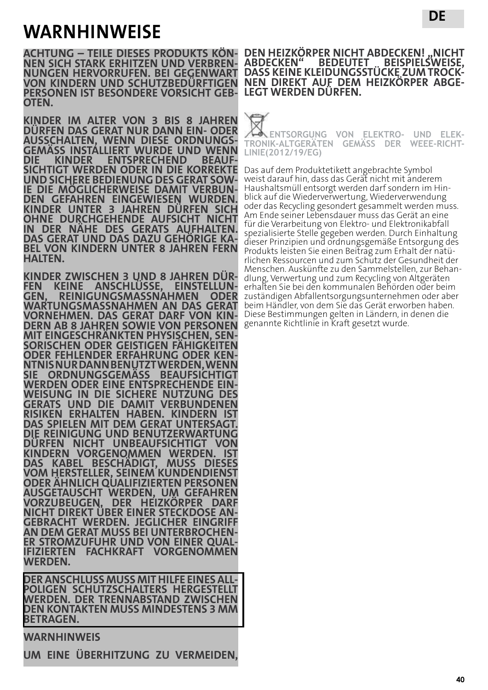## **WARNHINWEISE**

**ACHTUNG – TEILE DIESES PRODUKTS KÖN- NEN SICH STARK ERHITZEN UND VERBREN- NUNGEN HERVORRUFEN. BEI GEGENWART VON KINDERN UND SCHUTZBEDÜRFTIGEN PERSONEN IST BESONDERE VORSICHT GEB- OTEN.**

**KINDER IM ALTER VON 3 BIS 8 JAHREN DÜRFEN DAS GERAT NUR DANN EIN- ODER AUSSCHALTEN, WENN DIESE ORDNUNGS- GEMÄSS INSTALLIERT WURDE UND WENN DICHTIGT WERDEN ODER IN DIE KORREKTE<br>UND SICHERE BEDIENUNG DES GERAT SOW-UND SICHERE BEDIENUNG DES GERAT SOW- IE DIE MÖGLICHERWEISE DAMIT VERBUN- DEN GEFAHREN EINGEWIESEN WURDEN. KINDER UNTER 3 JAHREN DÜRFEN SICH OHNE DURCHGEHENDE AUFSICHT NICHT IN DER NÄHE DES GERATS AUFHALTEN. DAS GERAT UND DAS DAZU GEHÖRIGE KA- BEL VON KINDERN UNTER 8 JAHREN FERN HALTEN.**

**KINDER ZWISCHEN 3 UND 8 JAHREN DÜR- FEN KEINE ANSCHLÜSSE, EINSTELLUN- GEN, REINIGUNGSMASSNAHMEN ODER WARTUNGSMASSNAHMEN AN DAS GERAT DERN AB 8 JAHREN SOWIE VON PERSONEN MIT EINGESCHRÄNKTEN PHYSISCHEN, SEN- SORISCHEN ODER GEISTIGEN FÄHIGKEITEN NTNIS NUR DANN BENUTZT WERDEN, WENN<br>SIE ORDNUNG SGEMÄSS BEAUFSICHTIGT** SIE ORDNUNGSGEMASS BEAUFSICHTIGT<br>WERDEN ODER EINE ENTSPRECHENDE EIN-WEISUNG IN DIE SICHERE NUTZUNG DES **GERATS UND DIE DAMIT VERBUNDENEN RISIKEN ERHALTEN HABEN. KINDERN IST DAS SPIELEN MIT DEM GERAT UNTERSAGT. DIE REINIGUNG UND BENUTZERWARTUNG DÜRFEN NICHT UNBEAUFSICHTIGT VON KINDERN VORGENOMMEN WERDEN. IST DAS KABEL BESCHÄDIGT, MUSS DIESES VOM HERSTELLER, SEINEM KUNDENDIENST ODER ÄHNLICH QUALIFIZIERTEN PERSONEN AUSGETAUSCHT WERDEN, UM GEFAHREN VORZUBEUGEN. DER HEIZKÖRPER DARF**  GEBRACHT WERDEN. JEGLICHER EINGRIFF<br>AN DEM GERAT MUSS BEI UNTERBROCHEN-**AN DEM GERAT MUSS BEI UNTERBROCHEN- ER STROMZUFUHR UND VON EINER QUAL- IFIZIERTEN FACHKRAFT VORGENOMMEN WERDEN.**

**DER ANSCHLUSS MUSS MIT HILFE EINES ALL- POLIGEN SCHUTZSCHALTERS HERGESTELLT WERDEN. DER TRENNABSTAND ZWISCHEN DEN KONTAKTEN MUSS MINDESTENS 3 MM BETRAGEN.**

#### **WARNHINWEIS**

**UM EINE ÜBERHITZUNG ZU VERMEIDEN,** 

**DE**

**ENTSORGUNG VON ELEKTRO- UND ELEK- TRONIK-ALTGERÄTEN GEMÄSS DER WEEE-RICHT- LINIE(2012/19/EG)**

**DASS KEINE KLEIDUNGSSTÜCKE ZUM TROCK- NEN DIREKT AUF DEM HEIZKÖRPER ABGE- LEGT WERDEN DÜRFEN.**

Das auf dem Produktetikett angebrachte Symbol weist darauf hin, dass das Gerät nicht mit anderem Haushaltsmüll entsorgt werden darf sondern im Hinblick auf die Wiederverwertung, Wiederverwendung oder das Recycling gesondert gesammelt werden muss. Am Ende seiner Lebensdauer muss das Gerät an eine für die Verarbeitung von Elektro- und Elektronikabfall spezialisierte Stelle gegeben werden. Durch Einhaltung dieser Prinzipien und ordnungsgemäße Entsorgung des Produkts leisten Sie einen Beitrag zum Erhalt der natürlichen Ressourcen und zum Schutz der Gesundheit der Menschen. Auskünfte zu den Sammelstellen, zur Behandlung, Verwertung und zum Recycling von Altgeräten erhalten Sie bei den kommunalen Behörden oder beim zuständigen Abfallentsorgungsunternehmen oder aber beim Händler, von dem Sie das Gerät erworben haben. Diese Bestimmungen gelten in Ländern, in denen die genannte Richtlinie in Kraft gesetzt wurde.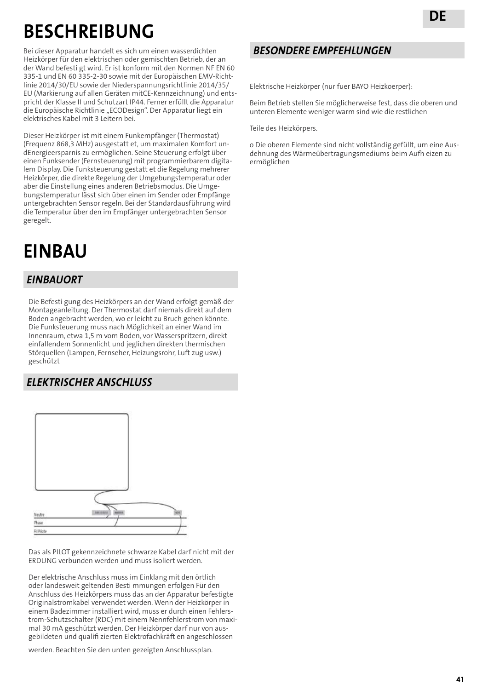## **BESCHREIBUNG**

Bei dieser Apparatur handelt es sich um einen wasserdichten Heizkörper für den elektrischen oder gemischten Betrieb, der an der Wand befesti gt wird. Er ist konform mit den Normen NF EN 60 335-1 und EN 60 335-2-30 sowie mit der Europäischen EMV-Richtlinie 2014/30/EU sowie der Niederspannungsrichtlinie 2014/35/ EU (Markierung auf allen Geräten mitCE-Kennzeichnung) und entspricht der Klasse II und Schutzart IP44. Ferner erfüllt die Apparatur die Europäische Richtlinie "ECODesign". Der Apparatur liegt ein elektrisches Kabel mit 3 Leitern bei.

Dieser Heizkörper ist mit einem Funkempfänger (Thermostat) (Frequenz 868,3 MHz) ausgestatt et, um maximalen Komfort undEnergieersparnis zu ermöglichen. Seine Steuerung erfolgt über einen Funksender (Fernsteuerung) mit programmierbarem digitalem Display. Die Funksteuerung gestatt et die Regelung mehrerer Heizkörper, die direkte Regelung der Umgebungstemperatur oder aber die Einstellung eines anderen Betriebsmodus. Die Umgebungstemperatur lässt sich über einen im Sender oder Empfänge untergebrachten Sensor regeln. Bei der Standardausführung wird die Temperatur über den im Empfänger untergebrachten Sensor geregelt.

## **EINBAU**

### *EINBAUORT*

Die Befesti gung des Heizkörpers an der Wand erfolgt gemäß der Montageanleitung. Der Thermostat darf niemals direkt auf dem Boden angebracht werden, wo er leicht zu Bruch gehen könnte. Die Funksteuerung muss nach Möglichkeit an einer Wand im Innenraum, etwa 1,5 m vom Boden, vor Wasserspritzern, direkt einfallendem Sonnenlicht und jeglichen direkten thermischen Störquellen (Lampen, Fernseher, Heizungsrohr, Luft zug usw.) geschützt

### installiert werden.. *ELEKTRISCHER ANSCHLUSS*



Das als PILOT gekennzeichnete schwarze Kabel darf nicht mit der ERDUNG verbunden werden und muss isoliert werden.

Der elektrische Anschluss muss im Einklang mit den örtlich oder landesweit geltenden Besti mmungen erfolgen Für den Anschluss des Heizkörpers muss das an der Apparatur befestigte Originalstromkabel verwendet werden. Wenn der Heizkörper in einem Badezimmer installiert wird, muss er durch einen Fehlerstrom-Schutzschalter (RDC) mit einem Nennfehlerstrom von maximal 30 mA geschützt werden. Der Heizkörper darf nur von ausgebildeten und qualifi zierten Elektrofachkräft en angeschlossen

werden. Beachten Sie den unten gezeigten Anschlussplan.

#### *BESONDERE EMPFEHLUNGEN*

Elektrische Heizkörper (nur fuer BAYO Heizkoerper):

Beim Betrieb stellen Sie möglicherweise fest, dass die oberen und unteren Elemente weniger warm sind wie die restlichen

Teile des Heizkörpers.

o Die oberen Elemente sind nicht vollständig gefüllt, um eine Ausdehnung des Wärmeübertragungsmediums beim Aufh eizen zu ermöglichen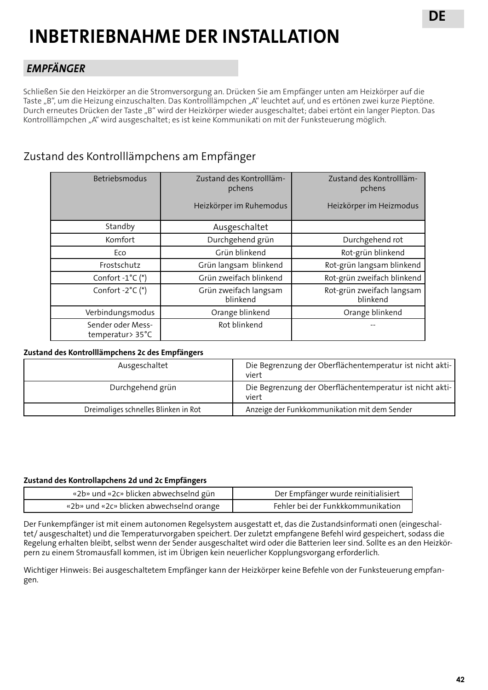## **INBETRIEBNAHME DER INSTALLATION**

### *EMPFÄNGER*

Schließen Sie den Heizkörper an die Stromversorgung an. Drücken Sie am Empfänger unten am Heizkörper auf die Taste "B", um die Heizung einzuschalten. Das Kontrolllämpchen "A" leuchtet auf, und es ertönen zwei kurze Pieptöne. Durch erneutes Drücken der Taste "B" wird der Heizkörper wieder ausgeschaltet; dabei ertönt ein langer Piepton. Das Kontrolllämpchen "A" wird ausgeschaltet; es ist keine Kommunikati on mit der Funksteuerung möglich.

## Zustand des Kontrolllämpchens am Empfänger

| Betriebsmodus                         | Zustand des Kontrollläm-<br>pchens | Zustand des Kontrollläm-<br>pchens    |
|---------------------------------------|------------------------------------|---------------------------------------|
|                                       | Heizkörper im Ruhemodus            | Heizkörper im Heizmodus               |
| Standby                               | Ausgeschaltet                      |                                       |
| Komfort                               | Durchgehend grün                   | Durchgehend rot                       |
| Eco                                   | Grün blinkend                      | Rot-grün blinkend                     |
| Frostschutz                           | Grün langsam blinkend              | Rot-grün langsam blinkend             |
| Confort $-1^{\circ}C$ (*)             | Grün zweifach blinkend             | Rot-grün zweifach blinkend            |
| Confort $-2^{\circ}C$ (*)             | Grün zweifach langsam<br>blinkend  | Rot-grün zweifach langsam<br>blinkend |
| Verbindungsmodus                      | Orange blinkend                    | Orange blinkend                       |
| Sender oder Mess-<br>temperatur> 35°C | Rot blinkend                       |                                       |

#### **Zustand des Kontrolllämpchens 2c des Empfängers**

| Ausgeschaltet                        | Die Begrenzung der Oberflächentemperatur ist nicht akti-<br>viert |
|--------------------------------------|-------------------------------------------------------------------|
| Durchgehend grün                     | Die Begrenzung der Oberflächentemperatur ist nicht akti-<br>viert |
| Dreimaliges schnelles Blinken in Rot | Anzeige der Funkkommunikation mit dem Sender                      |

#### **Zustand des Kontrollapchens 2d und 2c Empfängers**

| «2b» und «2c» blicken abwechselnd gün    | Der Empfänger wurde reinitialisiert |
|------------------------------------------|-------------------------------------|
| «2b» und «2c» blicken abwechselnd orange | Fehler bei der Funkkkommunikation   |

Der Funkempfänger ist mit einem autonomen Regelsystem ausgestatt et, das die Zustandsinformati onen (eingeschaltet/ ausgeschaltet) und die Temperaturvorgaben speichert. Der zuletzt empfangene Befehl wird gespeichert, sodass die Regelung erhalten bleibt, selbst wenn der Sender ausgeschaltet wird oder die Batterien leer sind. Sollte es an den Heizkörpern zu einem Stromausfall kommen, ist im Übrigen kein neuerlicher Kopplungsvorgang erforderlich.

Wichtiger Hinweis: Bei ausgeschaltetem Empfänger kann der Heizkörper keine Befehle von der Funksteuerung empfangen.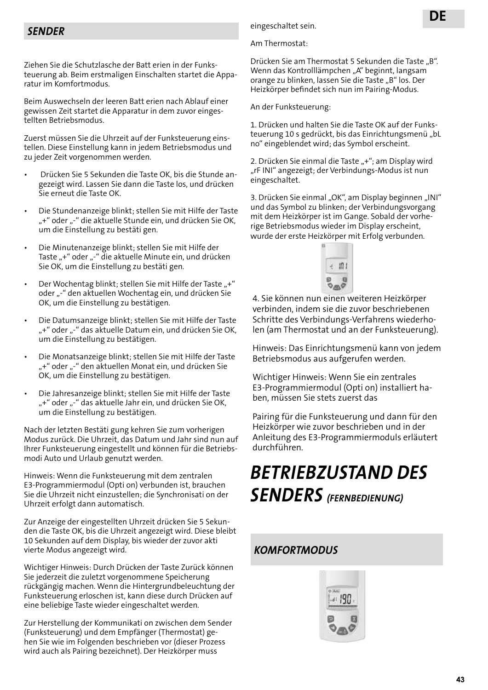Ziehen Sie die Schutzlasche der Batt erien in der Funksteuerung ab. Beim erstmaligen Einschalten startet die Apparatur im Komfortmodus.

Beim Auswechseln der leeren Batt erien nach Ablauf einer gewissen Zeit startet die Apparatur in dem zuvor eingestellten Betriebsmodus.

Zuerst müssen Sie die Uhrzeit auf der Funksteuerung einstellen. Diese Einstellung kann in jedem Betriebsmodus und zu jeder Zeit vorgenommen werden.

- Drücken Sie 5 Sekunden die Taste OK, bis die Stunde angezeigt wird. Lassen Sie dann die Taste los, und drücken Sie erneut die Taste OK.
- Die Stundenanzeige blinkt; stellen Sie mit Hilfe der Taste "+" oder "-" die aktuelle Stunde ein, und drücken Sie OK, um die Einstellung zu bestäti gen.
- Die Minutenanzeige blinkt; stellen Sie mit Hilfe der Taste "+" oder "-" die aktuelle Minute ein, und drücken Sie OK, um die Einstellung zu bestäti gen.
- Der Wochentag blinkt; stellen Sie mit Hilfe der Taste "+" oder "-" den aktuellen Wochentag ein, und drücken Sie OK, um die Einstellung zu bestätigen.
- Die Datumsanzeige blinkt; stellen Sie mit Hilfe der Taste "+" oder "-" das aktuelle Datum ein, und drücken Sie OK, um die Einstellung zu bestätigen.
- Die Monatsanzeige blinkt; stellen Sie mit Hilfe der Taste "+" oder "-" den aktuellen Monat ein, und drücken Sie OK, um die Einstellung zu bestätigen.
- Die Jahresanzeige blinkt; stellen Sie mit Hilfe der Taste "+" oder "-" das aktuelle Jahr ein, und drücken Sie OK, um die Einstellung zu bestätigen.

Nach der letzten Bestäti gung kehren Sie zum vorherigen Modus zurück. Die Uhrzeit, das Datum und Jahr sind nun auf Ihrer Funksteuerung eingestellt und können für die Betriebsmodi Auto und Urlaub genutzt werden.

Hinweis: Wenn die Funksteuerung mit dem zentralen E3-Programmiermodul (Opti on) verbunden ist, brauchen Sie die Uhrzeit nicht einzustellen; die Synchronisati on der Uhrzeit erfolgt dann automatisch.

Zur Anzeige der eingestellten Uhrzeit drücken Sie 5 Sekunden die Taste OK, bis die Uhrzeit angezeigt wird. Diese bleibt 10 Sekunden auf dem Display, bis wieder der zuvor akti vierte Modus angezeigt wird.

Wichtiger Hinweis: Durch Drücken der Taste Zurück können Sie jederzeit die zuletzt vorgenommene Speicherung rückgängig machen. Wenn die Hintergrundbeleuchtung der Funksteuerung erloschen ist, kann diese durch Drücken auf eine beliebige Taste wieder eingeschaltet werden.

Zur Herstellung der Kommunikati on zwischen dem Sender (Funksteuerung) und dem Empfänger (Thermostat) gehen Sie wie im Folgenden beschrieben vor (dieser Prozess wird auch als Pairing bezeichnet). Der Heizkörper muss

*SENDER* eingeschaltet sein.

Am Thermostat:

Drücken Sie am Thermostat 5 Sekunden die Taste "B". Wenn das Kontrolllämpchen "A" beginnt, langsam orange zu blinken, lassen Sie die Taste "B" los. Der Heizkörper befindet sich nun im Pairing-Modus.

An der Funksteuerung:

1. Drücken und halten Sie die Taste OK auf der Funksteuerung 10 s gedrückt, bis das Einrichtungsmenü "bL no" eingeblendet wird; das Symbol erscheint.

2. Drücken Sie einmal die Taste "+"; am Display wird "rF INI" angezeigt; der Verbindungs-Modus ist nun eingeschaltet.

3. Drücken Sie einmal "OK", am Display beginnen "INI" und das Symbol zu blinken; der Verbindungsvorgang mit dem Heizkörper ist im Gange. Sobald der vorherige Betriebsmodus wieder im Display erscheint, wurde der erste Heizkörper mit Erfolg verbunden.



4. Sie können nun einen weiteren Heizkörper verbinden, indem sie die zuvor beschriebenen Schritte des Verbindungs-Verfahrens wiederholen (am Thermostat und an der Funksteuerung).

Hinweis: Das Einrichtungsmenü kann von jedem Betriebsmodus aus aufgerufen werden.

Wichtiger Hinweis: Wenn Sie ein zentrales E3-Programmiermodul (Opti on) installiert haben, müssen Sie stets zuerst das

Pairing für die Funksteuerung und dann für den Heizkörper wie zuvor beschrieben und in der Anleitung des E3-Programmiermoduls erläutert durchführen.

## *BETRIEBZUSTAND DES SENDERS (FERNBEDIENUNG)*

### *KOMFORTMODUS*

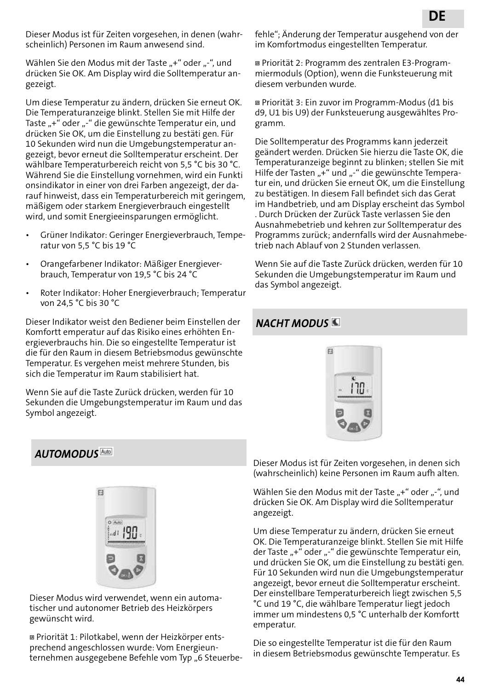Dieser Modus ist für Zeiten vorgesehen, in denen (wahrscheinlich) Personen im Raum anwesend sind.

Wählen Sie den Modus mit der Taste "+" oder "-", und drücken Sie OK. Am Display wird die Solltemperatur angezeigt.

Um diese Temperatur zu ändern, drücken Sie erneut OK. Die Temperaturanzeige blinkt. Stellen Sie mit Hilfe der Taste "+" oder "-" die gewünschte Temperatur ein, und drücken Sie OK, um die Einstellung zu bestäti gen. Für 10 Sekunden wird nun die Umgebungstemperatur angezeigt, bevor erneut die Solltemperatur erscheint. Der wählbare Temperaturbereich reicht von 5,5 °C bis 30 °C. Während Sie die Einstellung vornehmen, wird ein Funkti onsindikator in einer von drei Farben angezeigt, der darauf hinweist, dass ein Temperaturbereich mit geringem, mäßigem oder starkem Energieverbrauch eingestellt wird, und somit Energieeinsparungen ermöglicht.

- Grüner Indikator: Geringer Energieverbrauch, Temperatur von 5,5 °C bis 19 °C
- Orangefarbener Indikator: Mäßiger Energieverbrauch, Temperatur von 19,5 °C bis 24 °C
- Roter Indikator: Hoher Energieverbrauch; Temperatur von 24,5 °C bis 30 °C

Dieser Indikator weist den Bediener beim Einstellen der Komfortt emperatur auf das Risiko eines erhöhten Energieverbrauchs hin. Die so eingestellte Temperatur ist die für den Raum in diesem Betriebsmodus gewünschte Temperatur. Es vergehen meist mehrere Stunden, bis sich die Temperatur im Raum stabilisiert hat.

Wenn Sie auf die Taste Zurück drücken, werden für 10 Sekunden die Umgebungstemperatur im Raum und das Symbol angezeigt.

fehle"; Änderung der Temperatur ausgehend von der im Komfortmodus eingestellten Temperatur.

 Priorität 2: Programm des zentralen E3-Programmiermoduls (Option), wenn die Funksteuerung mit diesem verbunden wurde.

 Priorität 3: Ein zuvor im Programm-Modus (d1 bis d9, U1 bis U9) der Funksteuerung ausgewähltes Programm.

Die Solltemperatur des Programms kann jederzeit geändert werden. Drücken Sie hierzu die Taste OK, die Temperaturanzeige beginnt zu blinken; stellen Sie mit Hilfe der Tasten "+" und "-" die gewünschte Temperatur ein, und drücken Sie erneut OK, um die Einstellung zu bestätigen. In diesem Fall befindet sich das Gerat im Handbetrieb, und am Display erscheint das Symbol . Durch Drücken der Zurück Taste verlassen Sie den Ausnahmebetrieb und kehren zur Solltemperatur des Programms zurück; andernfalls wird der Ausnahmebetrieb nach Ablauf von 2 Stunden verlassen.

Wenn Sie auf die Taste Zurück drücken, werden für 10 Sekunden die Umgebungstemperatur im Raum und das Symbol angezeigt.

### *NACHT MODUS*



### *AUTOMODUS*



Dieser Modus wird verwendet, wenn ein automatischer und autonomer Betrieb des Heizkörpers gewünscht wird.

 Priorität 1: Pilotkabel, wenn der Heizkörper entsprechend angeschlossen wurde: Vom Energieunternehmen ausgegebene Befehle vom Typ "6 SteuerbeDieser Modus ist für Zeiten vorgesehen, in denen sich (wahrscheinlich) keine Personen im Raum aufh alten.

Wählen Sie den Modus mit der Taste "+" oder "-", und drücken Sie OK. Am Display wird die Solltemperatur angezeigt.

Um diese Temperatur zu ändern, drücken Sie erneut OK. Die Temperaturanzeige blinkt. Stellen Sie mit Hilfe der Taste "+" oder "-" die gewünschte Temperatur ein, und drücken Sie OK, um die Einstellung zu bestäti gen. Für 10 Sekunden wird nun die Umgebungstemperatur angezeigt, bevor erneut die Solltemperatur erscheint. Der einstellbare Temperaturbereich liegt zwischen 5,5 °C und 19 °C, die wählbare Temperatur liegt jedoch immer um mindestens 0,5 °C unterhalb der Komfortt emperatur.

Die so eingestellte Temperatur ist die für den Raum in diesem Betriebsmodus gewünschte Temperatur. Es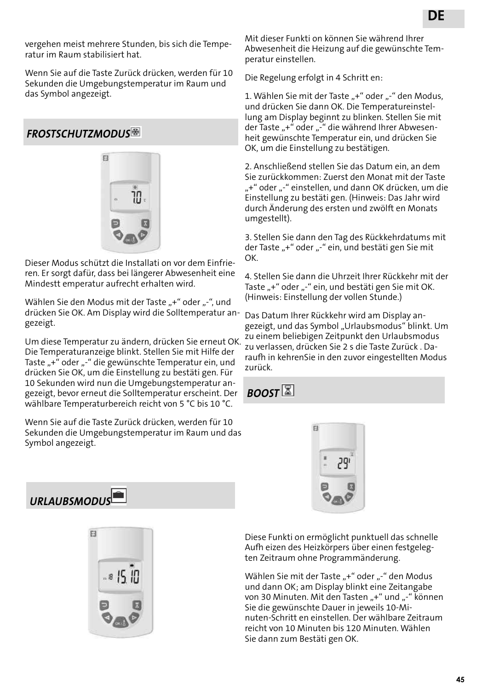vergehen meist mehrere Stunden, bis sich die Temperatur im Raum stabilisiert hat.

Wenn Sie auf die Taste Zurück drücken, werden für 10 Sekunden die Umgebungstemperatur im Raum und das Symbol angezeigt.

### *FROSTSCHUTZMODUS*



Dieser Modus schützt die Installati on vor dem Einfrieren. Er sorgt dafür, dass bei längerer Abwesenheit eine Mindestt emperatur aufrecht erhalten wird.

Wählen Sie den Modus mit der Taste "+" oder "-", und drücken Sie OK. Am Display wird die Solltemperatur angezeigt.

Um diese Temperatur zu ändern, drücken Sie erneut OK. Die Temperaturanzeige blinkt. Stellen Sie mit Hilfe der Taste "+" oder "-" die gewünschte Temperatur ein, und drücken Sie OK, um die Einstellung zu bestäti gen. Für 10 Sekunden wird nun die Umgebungstemperatur angezeigt, bevor erneut die Solltemperatur erscheint. Der wählbare Temperaturbereich reicht von 5 °C bis 10 °C.

Wenn Sie auf die Taste Zurück drücken, werden für 10 Sekunden die Umgebungstemperatur im Raum und das Symbol angezeigt.

Mit dieser Funkti on können Sie während Ihrer Abwesenheit die Heizung auf die gewünschte Temperatur einstellen.

Die Regelung erfolgt in 4 Schritt en:

1. Wählen Sie mit der Taste "+" oder "-" den Modus, und drücken Sie dann OK. Die Temperatureinstellung am Display beginnt zu blinken. Stellen Sie mit der Taste "+" oder "-" die während Ihrer Abwesenheit gewünschte Temperatur ein, und drücken Sie OK, um die Einstellung zu bestätigen.

2. Anschließend stellen Sie das Datum ein, an dem Sie zurückkommen: Zuerst den Monat mit der Taste "+" oder "-" einstellen, und dann OK drücken, um die Einstellung zu bestäti gen. (Hinweis: Das Jahr wird durch Änderung des ersten und zwölft en Monats umgestellt).

3. Stellen Sie dann den Tag des Rückkehrdatums mit der Taste "+" oder "-" ein, und bestäti gen Sie mit OK.

4. Stellen Sie dann die Uhrzeit Ihrer Rückkehr mit der Taste "+" oder "-" ein, und bestäti gen Sie mit OK. (Hinweis: Einstellung der vollen Stunde.)

Das Datum Ihrer Rückkehr wird am Display angezeigt, und das Symbol "Urlaubsmodus" blinkt. Um zu einem beliebigen Zeitpunkt den Urlaubsmodus zu verlassen, drücken Sie 2 s die Taste Zurück . Daraufh in kehrenSie in den zuvor eingestellten Modus zurück.

 $B$ *DOST*  $\boxed{2}$ 





 $E1$ 

Diese Funkti on ermöglicht punktuell das schnelle Aufh eizen des Heizkörpers über einen festgelegten Zeitraum ohne Programmänderung.

Wählen Sie mit der Taste "+" oder "-" den Modus und dann OK; am Display blinkt eine Zeitangabe von 30 Minuten. Mit den Tasten "+" und "-" können Sie die gewünschte Dauer in jeweils 10-Minuten-Schritt en einstellen. Der wählbare Zeitraum reicht von 10 Minuten bis 120 Minuten. Wählen Sie dann zum Bestäti gen OK.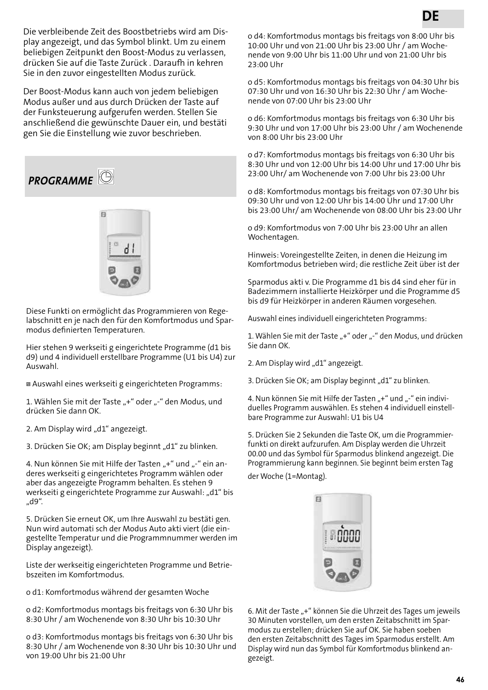Die verbleibende Zeit des Boostbetriebs wird am Display angezeigt, und das Symbol blinkt. Um zu einem beliebigen Zeitpunkt den Boost-Modus zu verlassen, drücken Sie auf die Taste Zurück . Daraufh in kehren Sie in den zuvor eingestellten Modus zurück.

Der Boost-Modus kann auch von jedem beliebigen Modus außer und aus durch Drücken der Taste auf der Funksteuerung aufgerufen werden. Stellen Sie anschließend die gewünschte Dauer ein, und bestäti gen Sie die Einstellung wie zuvor beschrieben.

*PROGRAMME* 



Diese Funkti on ermöglicht das Programmieren von Regelabschnitt en je nach den für den Komfortmodus und Sparmodus definierten Temperaturen.

Hier stehen 9 werkseiti g eingerichtete Programme (d1 bis d9) und 4 individuell erstellbare Programme (U1 bis U4) zur Auswahl.

Auswahl eines werkseiti g eingerichteten Programms:

1. Wählen Sie mit der Taste "+" oder "-" den Modus, und drücken Sie dann OK.

2. Am Display wird "d1" angezeigt.

3. Drücken Sie OK; am Display beginnt "d1" zu blinken.

4. Nun können Sie mit Hilfe der Tasten "+" und "-" ein anderes werkseiti g eingerichtetes Programm wählen oder aber das angezeigte Programm behalten. Es stehen 9 werkseiti g eingerichtete Programme zur Auswahl: "d1" bis "d9".

5. Drücken Sie erneut OK, um Ihre Auswahl zu bestäti gen. Nun wird automati sch der Modus Auto akti viert (die eingestellte Temperatur und die Programmnummer werden im Display angezeigt).

Liste der werkseitig eingerichteten Programme und Betriebszeiten im Komfortmodus.

o d1: Komfortmodus während der gesamten Woche

o d2: Komfortmodus montags bis freitags von 6:30 Uhr bis 8:30 Uhr / am Wochenende von 8:30 Uhr bis 10:30 Uhr

o d3: Komfortmodus montags bis freitags von 6:30 Uhr bis 8:30 Uhr / am Wochenende von 8:30 Uhr bis 10:30 Uhr und von 19:00 Uhr bis 21:00 Uhr

o d4: Komfortmodus montags bis freitags von 8:00 Uhr bis 10:00 Uhr und von 21:00 Uhr bis 23:00 Uhr / am Wochenende von 9:00 Uhr bis 11:00 Uhr und von 21:00 Uhr bis 23:00 Uhr

o d5: Komfortmodus montags bis freitags von 04:30 Uhr bis 07:30 Uhr und von 16:30 Uhr bis 22:30 Uhr / am Wochenende von 07:00 Uhr bis 23:00 Uhr

o d6: Komfortmodus montags bis freitags von 6:30 Uhr bis 9:30 Uhr und von 17:00 Uhr bis 23:00 Uhr / am Wochenende von 8:00 Uhr bis 23:00 Uhr

o d7: Komfortmodus montags bis freitags von 6:30 Uhr bis 8:30 Uhr und von 12:00 Uhr bis 14:00 Uhr und 17:00 Uhr bis 23:00 Uhr/ am Wochenende von 7:00 Uhr bis 23:00 Uhr

o d8: Komfortmodus montags bis freitags von 07:30 Uhr bis 09:30 Uhr und von 12:00 Uhr bis 14:00 Uhr und 17:00 Uhr bis 23:00 Uhr/ am Wochenende von 08:00 Uhr bis 23:00 Uhr

o d9: Komfortmodus von 7:00 Uhr bis 23:00 Uhr an allen Wochentagen.

Hinweis: Voreingestellte Zeiten, in denen die Heizung im Komfortmodus betrieben wird; die restliche Zeit über ist der

Sparmodus akti v. Die Programme d1 bis d4 sind eher für in Badezimmern installierte Heizkörper und die Programme d5 bis d9 für Heizkörper in anderen Räumen vorgesehen.

Auswahl eines individuell eingerichteten Programms:

1. Wählen Sie mit der Taste "+" oder "-" den Modus, und drücken Sie dann OK.

2. Am Display wird "d1" angezeigt.

3. Drücken Sie OK; am Display beginnt "d1" zu blinken.

4. Nun können Sie mit Hilfe der Tasten "+" und "-" ein individuelles Programm auswählen. Es stehen 4 individuell einstellbare Programme zur Auswahl: U1 bis U4

5. Drücken Sie 2 Sekunden die Taste OK, um die Programmierfunkti on direkt aufzurufen. Am Display werden die Uhrzeit 00.00 und das Symbol für Sparmodus blinkend angezeigt. Die Programmierung kann beginnen. Sie beginnt beim ersten Tag der Woche (1=Montag).



6. Mit der Taste "+" können Sie die Uhrzeit des Tages um jeweils 30 Minuten vorstellen, um den ersten Zeitabschnitt im Sparmodus zu erstellen; drücken Sie auf OK. Sie haben soeben den ersten Zeitabschnitt des Tages im Sparmodus erstellt. Am Display wird nun das Symbol für Komfortmodus blinkend angezeigt.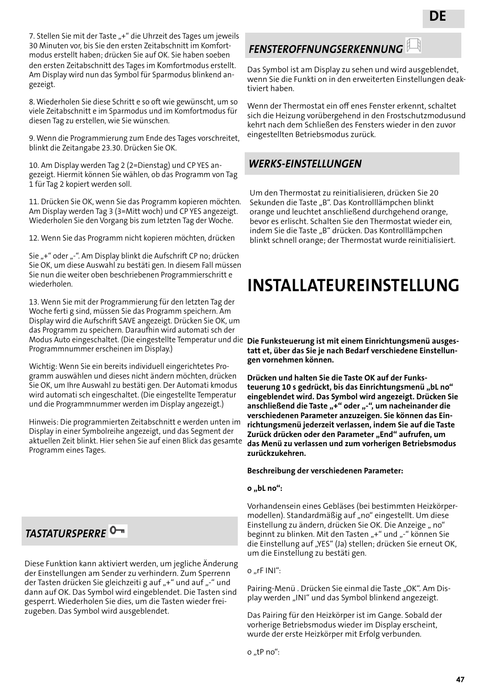7. Stellen Sie mit der Taste "+" die Uhrzeit des Tages um jeweils 30 Minuten vor, bis Sie den ersten Zeitabschnitt im Komfortmodus erstellt haben; drücken Sie auf OK. Sie haben soeben den ersten Zeitabschnitt des Tages im Komfortmodus erstellt. Am Display wird nun das Symbol für Sparmodus blinkend angezeigt.

8. Wiederholen Sie diese Schritt e so oft wie gewünscht, um so viele Zeitabschnitt e im Sparmodus und im Komfortmodus für diesen Tag zu erstellen, wie Sie wünschen.

9. Wenn die Programmierung zum Ende des Tages vorschreitet, blinkt die Zeitangabe 23.30. Drücken Sie OK.

10. Am Display werden Tag 2 (2=Dienstag) und CP YES angezeigt. Hiermit können Sie wählen, ob das Programm von Tag 1 für Tag 2 kopiert werden soll.

11. Drücken Sie OK, wenn Sie das Programm kopieren möchten. Am Display werden Tag 3 (3=Mitt woch) und CP YES angezeigt. Wiederholen Sie den Vorgang bis zum letzten Tag der Woche.

12. Wenn Sie das Programm nicht kopieren möchten, drücken

Sie "+" oder "-". Am Display blinkt die Aufschrift CP no; drücken Sie OK, um diese Auswahl zu bestäti gen. In diesem Fall müssen Sie nun die weiter oben beschriebenen Programmierschritt e wiederholen.

13. Wenn Sie mit der Programmierung für den letzten Tag der Woche ferti g sind, müssen Sie das Programm speichern. Am Display wird die Aufschrift SAVE angezeigt. Drücken Sie OK, um das Programm zu speichern. Daraufhin wird automati sch der Modus Auto eingeschaltet. (Die eingestellte Temperatur und die **Die Funksteuerung ist mit einem Einrichtungsmenü ausges**-Programmnummer erscheinen im Display.)

Wichtig: Wenn Sie ein bereits individuell eingerichtetes Programm auswählen und dieses nicht ändern möchten, drücken Sie OK, um Ihre Auswahl zu bestäti gen. Der Automati kmodus wird automati sch eingeschaltet. (Die eingestellte Temperatur und die Programmnummer werden im Display angezeigt.)

Hinweis: Die programmierten Zeitabschnitt e werden unten im Display in einer Symbolreihe angezeigt, und das Segment der aktuellen Zeit blinkt. Hier sehen Sie auf einen Blick das gesamte Programm eines Tages.

## *TASTATURSPERRE*

Diese Funktion kann aktiviert werden, um jegliche Änderung der Einstellungen am Sender zu verhindern. Zum Sperrenn der Tasten drücken Sie gleichzeiti g auf "+" und auf "-" und dann auf OK. Das Symbol wird eingeblendet. Die Tasten sind gesperrt. Wiederholen Sie dies, um die Tasten wieder freizugeben. Das Symbol wird ausgeblendet.

## *FENSTEROFFNUNGSERKENNUNG*

Das Symbol ist am Display zu sehen und wird ausgeblendet, wenn Sie die Funkti on in den erweiterten Einstellungen deaktiviert haben.

Wenn der Thermostat ein off enes Fenster erkennt, schaltet sich die Heizung vorübergehend in den Frostschutzmodusund kehrt nach dem Schließen des Fensters wieder in den zuvor eingestellten Betriebsmodus zurück.

### *WERKS-EINSTELLUNGEN*

Um den Thermostat zu reinitialisieren, drücken Sie 20 Sekunden die Taste "B". Das Kontrolllämpchen blinkt orange und leuchtet anschließend durchgehend orange, bevor es erlischt. Schalten Sie den Thermostat wieder ein, indem Sie die Taste "B" drücken. Das Kontrolllämpchen blinkt schnell orange; der Thermostat wurde reinitialisiert.

## **INSTALLATEUREINSTELLUNG**

**tatt et, über das Sie je nach Bedarf verschiedene Einstellungen vornehmen können.**

**Drücken und halten Sie die Taste OK auf der Funks**teuerung 10 s gedrückt, bis das Einrichtungsmenü "bL no" **eingeblendet wird. Das Symbol wird angezeigt. Drücken Sie**  anschließend die Taste "+" oder "-", um nacheinander die **verschiedenen Parameter anzuzeigen. Sie können das Einrichtungsmenü jederzeit verlassen, indem Sie auf die Taste**  Zurück drücken oder den Parameter "End" aufrufen, um **das Menü zu verlassen und zum vorherigen Betriebsmodus zurückzukehren.**

#### **Beschreibung der verschiedenen Parameter:**

#### **o "bL no":**

Vorhandensein eines Gebläses (bei bestimmten Heizkörpermodellen). Standardmäßig auf "no" eingestellt. Um diese Einstellung zu ändern, drücken Sie OK. Die Anzeige "no" beginnt zu blinken. Mit den Tasten "+" und "-" können Sie die Einstellung auf "YES" (Ja) stellen; drücken Sie erneut OK, um die Einstellung zu bestäti gen.

 $o$  ...  $r$ F INI":

Pairing-Menü. Drücken Sie einmal die Taste "OK". Am Display werden "INI" und das Symbol blinkend angezeigt.

Das Pairing für den Heizkörper ist im Gange. Sobald der vorherige Betriebsmodus wieder im Display erscheint, wurde der erste Heizkörper mit Erfolg verbunden.

o "tP no":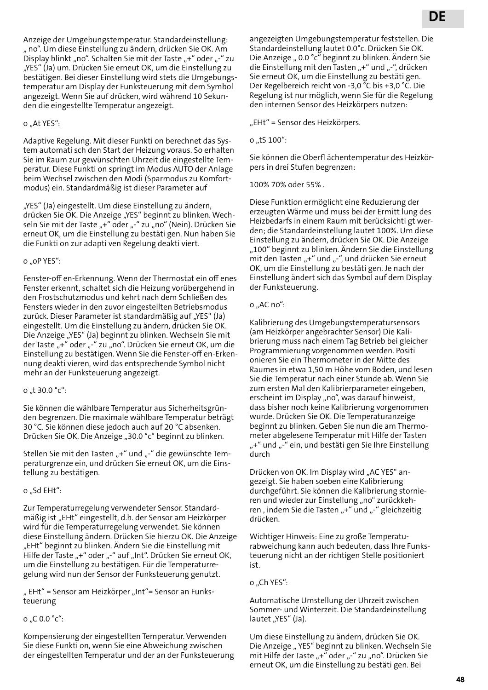Anzeige der Umgebungstemperatur. Standardeinstellung: " no". Um diese Einstellung zu ändern, drücken Sie OK. Am Display blinkt "no". Schalten Sie mit der Taste "+" oder "-" zu "YES" (Ja) um. Drücken Sie erneut OK, um die Einstellung zu bestätigen. Bei dieser Einstellung wird stets die Umgebungstemperatur am Display der Funksteuerung mit dem Symbol angezeigt. Wenn Sie auf drücken, wird während 10 Sekunden die eingestellte Temperatur angezeigt.

o ..At YES":

Adaptive Regelung. Mit dieser Funkti on berechnet das System automati sch den Start der Heizung voraus. So erhalten Sie im Raum zur gewünschten Uhrzeit die eingestellte Temperatur. Diese Funkti on springt im Modus AUTO der Anlage beim Wechsel zwischen den Modi (Sparmodus zu Komfortmodus) ein. Standardmäßig ist dieser Parameter auf

"YES" (Ja) eingestellt. Um diese Einstellung zu ändern, drücken Sie OK. Die Anzeige "YES" beginnt zu blinken. Wechseln Sie mit der Taste "+" oder "-" zu "no" (Nein). Drücken Sie erneut OK, um die Einstellung zu bestäti gen. Nun haben Sie die Funkti on zur adapti ven Regelung deakti viert.

#### o "oP YES":

Fenster-off en-Erkennung. Wenn der Thermostat ein off enes Fenster erkennt, schaltet sich die Heizung vorübergehend in den Frostschutzmodus und kehrt nach dem Schließen des Fensters wieder in den zuvor eingestellten Betriebsmodus zurück. Dieser Parameter ist standardmäßig auf "YES" (Ja) eingestellt. Um die Einstellung zu ändern, drücken Sie OK. Die Anzeige "YES" (Ja) beginnt zu blinken. Wechseln Sie mit der Taste "+" oder "-" zu "no". Drücken Sie erneut OK, um die Einstellung zu bestätigen. Wenn Sie die Fenster-off en-Erkennung deakti vieren, wird das entsprechende Symbol nicht mehr an der Funksteuerung angezeigt.

#### o ..t 30.0  $^{\circ}$ c":

Sie können die wählbare Temperatur aus Sicherheitsgründen begrenzen. Die maximale wählbare Temperatur beträgt 30 °C. Sie können diese jedoch auch auf 20 °C absenken. Drücken Sie OK. Die Anzeige "30.0 °c" beginnt zu blinken.

Stellen Sie mit den Tasten "+" und "-" die gewünschte Temperaturgrenze ein, und drücken Sie erneut OK, um die Einstellung zu bestätigen.

#### o "Sd EHt":

Zur Temperaturregelung verwendeter Sensor. Standardmäßig ist "EHt" eingestellt, d.h. der Sensor am Heizkörper wird für die Temperaturregelung verwendet. Sie können diese Einstellung ändern. Drücken Sie hierzu OK. Die Anzeige "EHt" beginnt zu blinken. Ändern Sie die Einstellung mit Hilfe der Taste "+" oder "-" auf "Int". Drücken Sie erneut OK, um die Einstellung zu bestätigen. Für die Temperaturregelung wird nun der Sensor der Funksteuerung genutzt.

" EHt" = Sensor am Heizkörper "Int"= Sensor an Funksteuerung

#### o "C 0.0 °c":

Kompensierung der eingestellten Temperatur. Verwenden Sie diese Funkti on, wenn Sie eine Abweichung zwischen der eingestellten Temperatur und der an der Funksteuerung angezeigten Umgebungstemperatur feststellen. Die Standardeinstellung lautet 0.0°c. Drücken Sie OK. Die Anzeige " 0.0 °c" beginnt zu blinken. Ändern Sie die Einstellung mit den Tasten "+" und "-", drücken Sie erneut OK, um die Einstellung zu bestäti gen. Der Regelbereich reicht von -3,0 °C bis +3,0 °C. Die Regelung ist nur möglich, wenn Sie für die Regelung den internen Sensor des Heizkörpers nutzen:

"EHt" = Sensor des Heizkörpers.

 $o$  "tS 100":

Sie können die Oberfl ächentemperatur des Heizkörpers in drei Stufen begrenzen:

100% 70% oder 55% .

Diese Funktion ermöglicht eine Reduzierung der erzeugten Wärme und muss bei der Ermitt lung des Heizbedarfs in einem Raum mit berücksichti gt werden; die Standardeinstellung lautet 100%. Um diese Einstellung zu ändern, drücken Sie OK. Die Anzeige "100" beginnt zu blinken. Ändern Sie die Einstellung mit den Tasten "+" und "-", und drücken Sie erneut OK, um die Einstellung zu bestäti gen. Je nach der Einstellung ändert sich das Symbol auf dem Display der Funksteuerung.

#### $o$  "AC no":

Kalibrierung des Umgebungstemperatursensors (am Heizkörper angebrachter Sensor) Die Kalibrierung muss nach einem Tag Betrieb bei gleicher Programmierung vorgenommen werden. Positi onieren Sie ein Thermometer in der Mitte des Raumes in etwa 1,50 m Höhe vom Boden, und lesen Sie die Temperatur nach einer Stunde ab. Wenn Sie zum ersten Mal den Kalibrierparameter eingeben, erscheint im Display "no", was darauf hinweist, dass bisher noch keine Kalibrierung vorgenommen wurde. Drücken Sie OK. Die Temperaturanzeige beginnt zu blinken. Geben Sie nun die am Thermometer abgelesene Temperatur mit Hilfe der Tasten "+" und "-" ein, und bestäti gen Sie Ihre Einstellung durch

Drücken von OK. Im Display wird "AC YES" angezeigt. Sie haben soeben eine Kalibrierung durchgeführt. Sie können die Kalibrierung stornieren und wieder zur Einstellung "no" zurückkehren, indem Sie die Tasten "+" und "-" gleichzeitig drücken.

Wichtiger Hinweis: Eine zu große Temperaturabweichung kann auch bedeuten, dass Ihre Funksteuerung nicht an der richtigen Stelle positioniert ist.

o "Ch YES":

Automatische Umstellung der Uhrzeit zwischen Sommer- und Winterzeit. Die Standardeinstellung lautet "YES" (Ja).

Um diese Einstellung zu ändern, drücken Sie OK. Die Anzeige " YES" beginnt zu blinken. Wechseln Sie mit Hilfe der Taste "+" oder "-" zu "no". Drücken Sie erneut OK, um die Einstellung zu bestäti gen. Bei